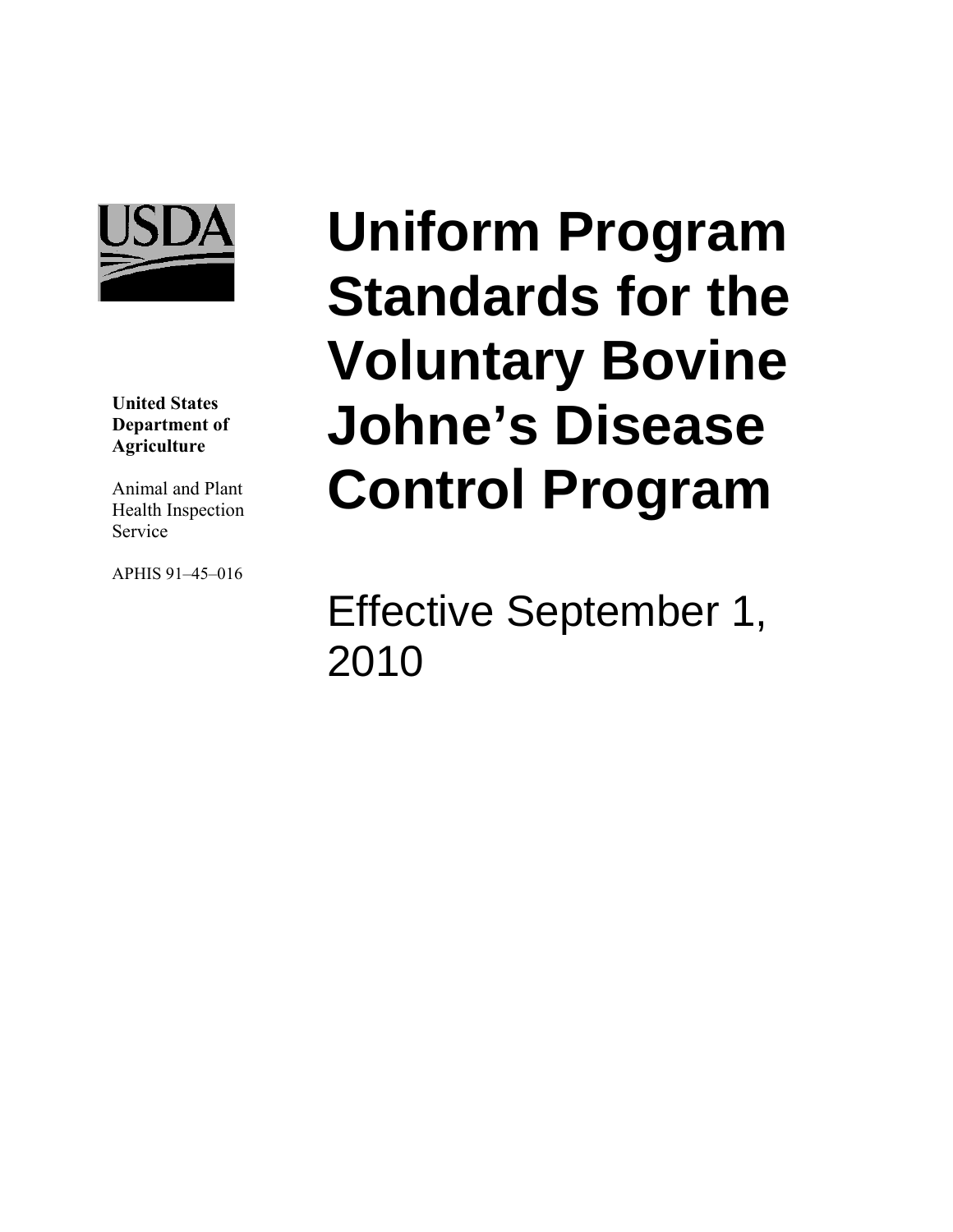

**United States Department of Agriculture** 

Animal and Plant Health Inspection Service

APHIS 91–45–016

# **Uniform Program Standards for the Voluntary Bovine Johne's Disease Control Program**

Effective September 1, 2010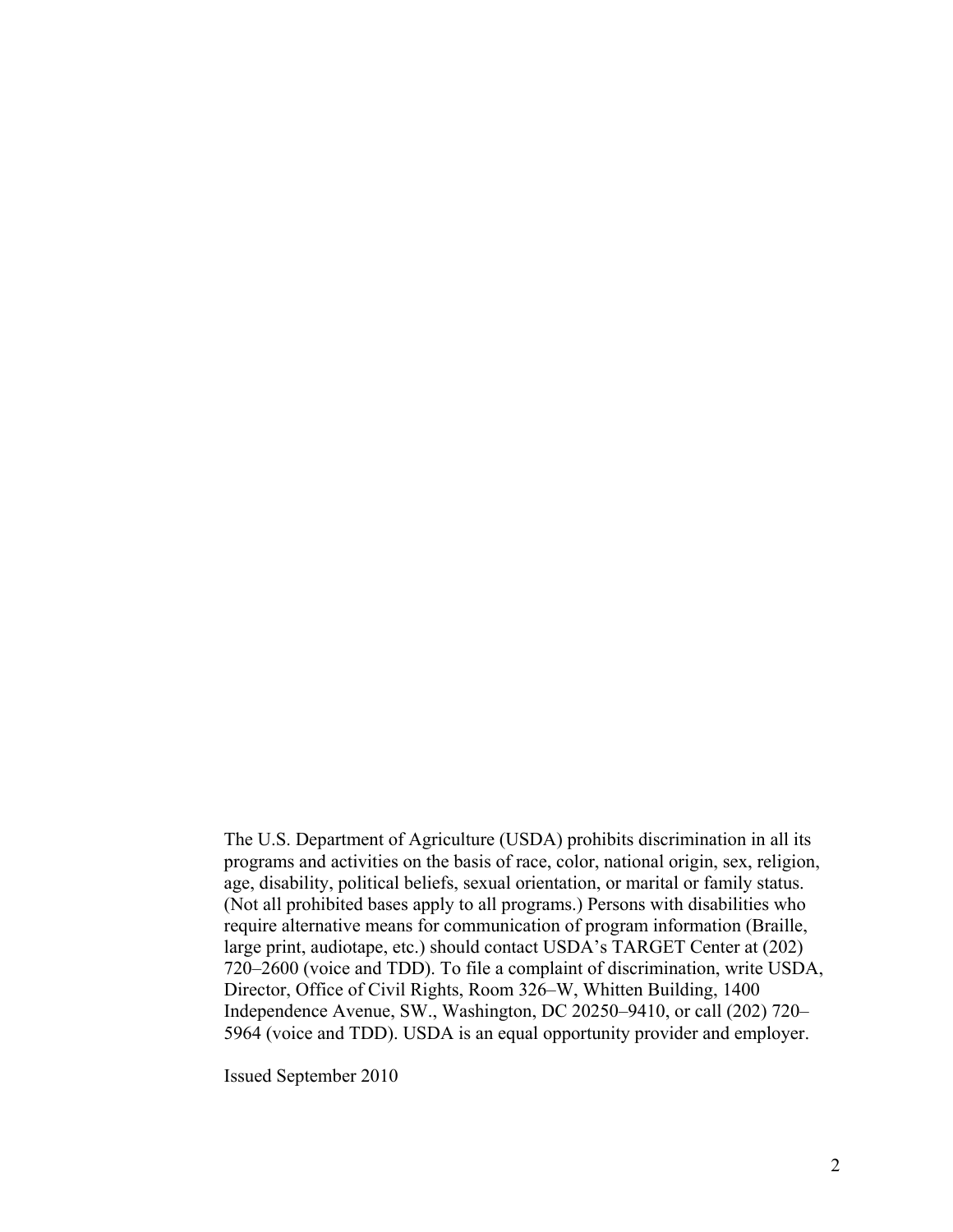The U.S. Department of Agriculture (USDA) prohibits discrimination in all its programs and activities on the basis of race, color, national origin, sex, religion, age, disability, political beliefs, sexual orientation, or marital or family status. (Not all prohibited bases apply to all programs.) Persons with disabilities who require alternative means for communication of program information (Braille, large print, audiotape, etc.) should contact USDA's TARGET Center at (202) 720–2600 (voice and TDD). To file a complaint of discrimination, write USDA, Director, Office of Civil Rights, Room 326–W, Whitten Building, 1400 Independence Avenue, SW., Washington, DC 20250–9410, or call (202) 720– 5964 (voice and TDD). USDA is an equal opportunity provider and employer.

Issued September 2010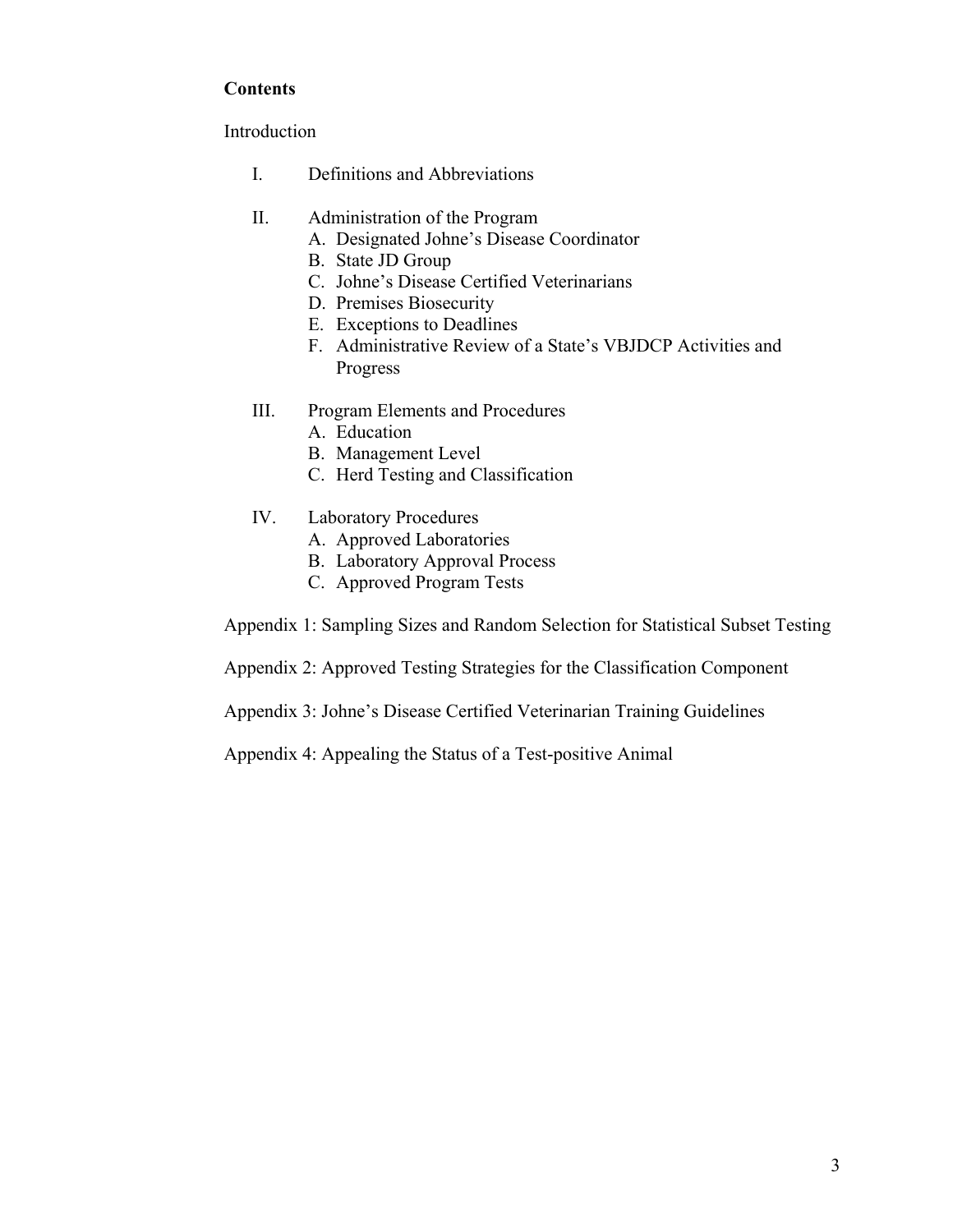# **Contents**

Introduction

- I. Definitions and Abbreviations
- II. Administration of the Program
	- A. Designated Johne's Disease Coordinator
	- B. State JD Group
	- C. Johne's Disease Certified Veterinarians
	- D. Premises Biosecurity
	- E. Exceptions to Deadlines
	- F. Administrative Review of a State's VBJDCP Activities and Progress
- III. Program Elements and Procedures
	- A. Education
	- B. Management Level
	- C. Herd Testing and Classification
- IV. Laboratory Procedures
	- A. Approved Laboratories
	- B. Laboratory Approval Process
	- C. Approved Program Tests

Appendix 1: Sampling Sizes and Random Selection for Statistical Subset Testing

Appendix 2: Approved Testing Strategies for the Classification Component

Appendix 3: Johne's Disease Certified Veterinarian Training Guidelines

Appendix 4: Appealing the Status of a Test-positive Animal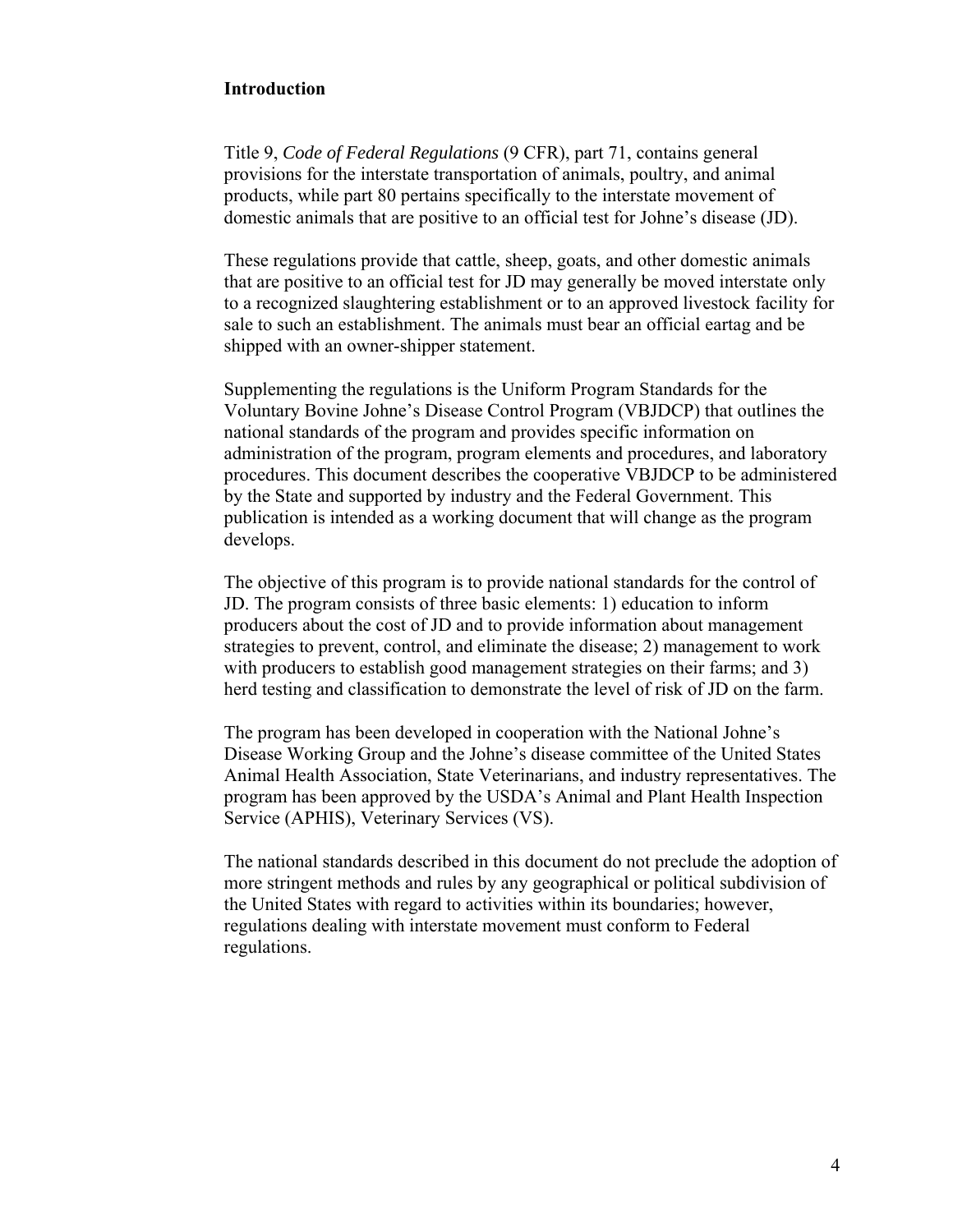#### **Introduction**

Title 9, *Code of Federal Regulations* (9 CFR), part 71, contains general provisions for the interstate transportation of animals, poultry, and animal products, while part 80 pertains specifically to the interstate movement of domestic animals that are positive to an official test for Johne's disease (JD).

These regulations provide that cattle, sheep, goats, and other domestic animals that are positive to an official test for JD may generally be moved interstate only to a recognized slaughtering establishment or to an approved livestock facility for sale to such an establishment. The animals must bear an official eartag and be shipped with an owner-shipper statement.

Supplementing the regulations is the Uniform Program Standards for the Voluntary Bovine Johne's Disease Control Program (VBJDCP) that outlines the national standards of the program and provides specific information on administration of the program, program elements and procedures, and laboratory procedures. This document describes the cooperative VBJDCP to be administered by the State and supported by industry and the Federal Government. This publication is intended as a working document that will change as the program develops.

The objective of this program is to provide national standards for the control of JD. The program consists of three basic elements: 1) education to inform producers about the cost of JD and to provide information about management strategies to prevent, control, and eliminate the disease; 2) management to work with producers to establish good management strategies on their farms; and 3) herd testing and classification to demonstrate the level of risk of JD on the farm.

The program has been developed in cooperation with the National Johne's Disease Working Group and the Johne's disease committee of the United States Animal Health Association, State Veterinarians, and industry representatives. The program has been approved by the USDA's Animal and Plant Health Inspection Service (APHIS), Veterinary Services (VS).

The national standards described in this document do not preclude the adoption of more stringent methods and rules by any geographical or political subdivision of the United States with regard to activities within its boundaries; however, regulations dealing with interstate movement must conform to Federal regulations.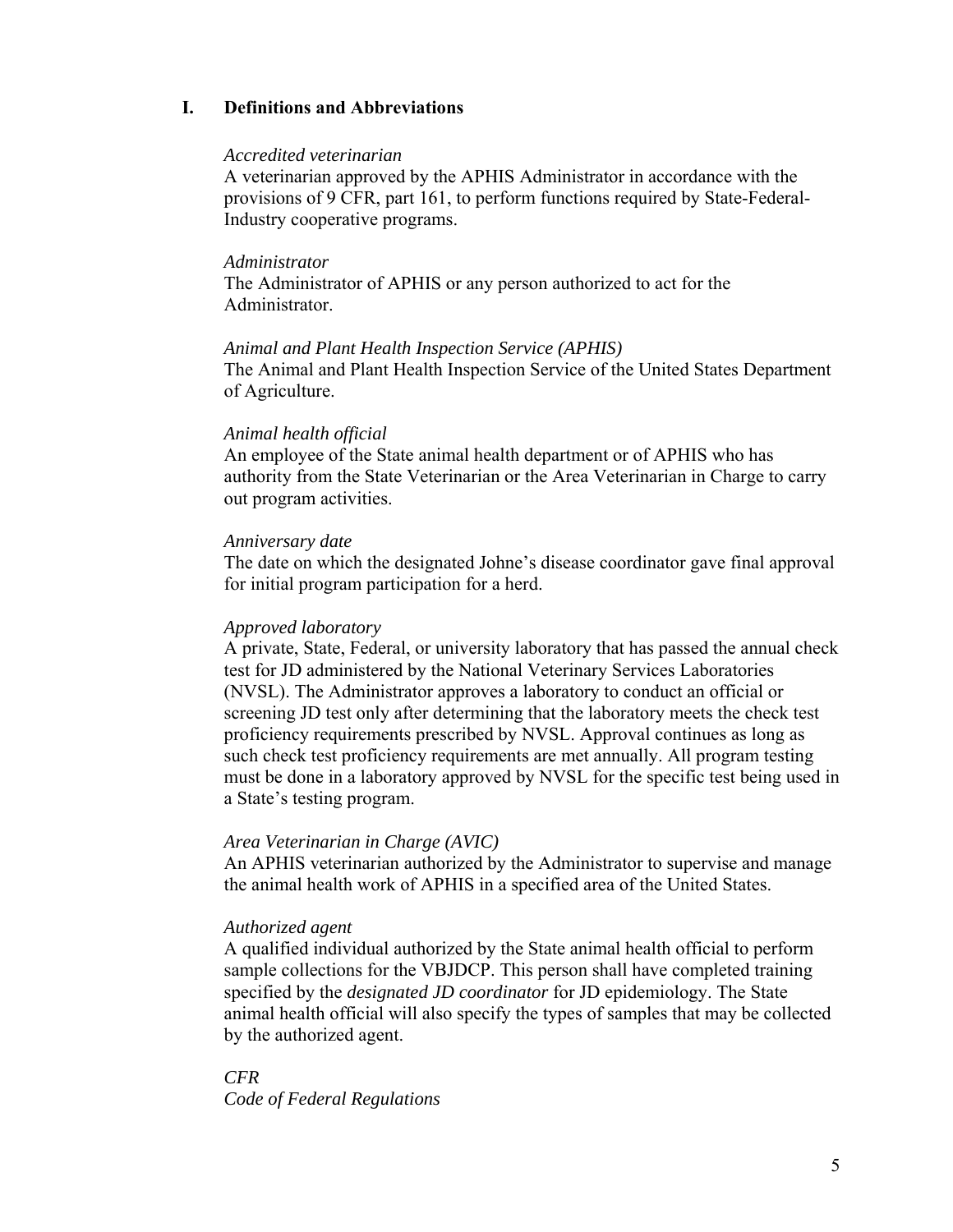# **I. Definitions and Abbreviations**

#### *Accredited veterinarian*

A veterinarian approved by the APHIS Administrator in accordance with the provisions of 9 CFR, part 161, to perform functions required by State-Federal-Industry cooperative programs.

#### *Administrator*

The Administrator of APHIS or any person authorized to act for the Administrator.

#### *Animal and Plant Health Inspection Service (APHIS)*

The Animal and Plant Health Inspection Service of the United States Department of Agriculture.

## *Animal health official*

An employee of the State animal health department or of APHIS who has authority from the State Veterinarian or the Area Veterinarian in Charge to carry out program activities.

#### *Anniversary date*

The date on which the designated Johne's disease coordinator gave final approval for initial program participation for a herd.

## *Approved laboratory*

A private, State, Federal, or university laboratory that has passed the annual check test for JD administered by the National Veterinary Services Laboratories (NVSL). The Administrator approves a laboratory to conduct an official or screening JD test only after determining that the laboratory meets the check test proficiency requirements prescribed by NVSL. Approval continues as long as such check test proficiency requirements are met annually. All program testing must be done in a laboratory approved by NVSL for the specific test being used in a State's testing program.

## *Area Veterinarian in Charge (AVIC)*

An APHIS veterinarian authorized by the Administrator to supervise and manage the animal health work of APHIS in a specified area of the United States.

## *Authorized agent*

A qualified individual authorized by the State animal health official to perform sample collections for the VBJDCP. This person shall have completed training specified by the *designated JD coordinator* for JD epidemiology. The State animal health official will also specify the types of samples that may be collected by the authorized agent.

*CFR Code of Federal Regulations*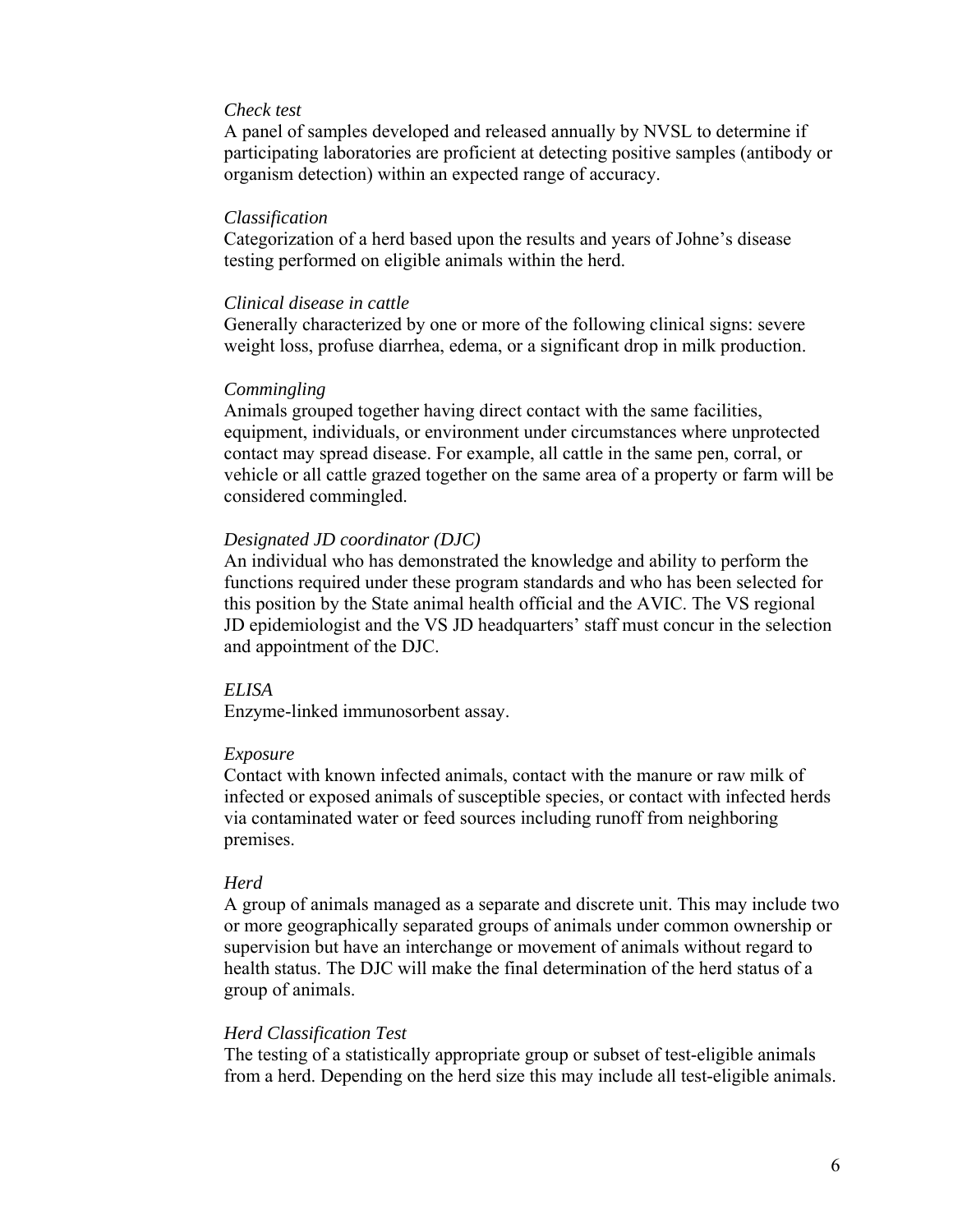## *Check test*

A panel of samples developed and released annually by NVSL to determine if participating laboratories are proficient at detecting positive samples (antibody or organism detection) within an expected range of accuracy.

#### *Classification*

Categorization of a herd based upon the results and years of Johne's disease testing performed on eligible animals within the herd.

#### *Clinical disease in cattle*

Generally characterized by one or more of the following clinical signs: severe weight loss, profuse diarrhea, edema, or a significant drop in milk production.

#### *Commingling*

Animals grouped together having direct contact with the same facilities, equipment, individuals, or environment under circumstances where unprotected contact may spread disease. For example, all cattle in the same pen, corral, or vehicle or all cattle grazed together on the same area of a property or farm will be considered commingled.

#### *Designated JD coordinator (DJC)*

An individual who has demonstrated the knowledge and ability to perform the functions required under these program standards and who has been selected for this position by the State animal health official and the AVIC. The VS regional JD epidemiologist and the VS JD headquarters' staff must concur in the selection and appointment of the DJC.

#### *ELISA*

Enzyme-linked immunosorbent assay.

#### *Exposure*

Contact with known infected animals, contact with the manure or raw milk of infected or exposed animals of susceptible species, or contact with infected herds via contaminated water or feed sources including runoff from neighboring premises.

#### *Herd*

A group of animals managed as a separate and discrete unit. This may include two or more geographically separated groups of animals under common ownership or supervision but have an interchange or movement of animals without regard to health status. The DJC will make the final determination of the herd status of a group of animals.

#### *Herd Classification Test*

The testing of a statistically appropriate group or subset of test-eligible animals from a herd. Depending on the herd size this may include all test-eligible animals.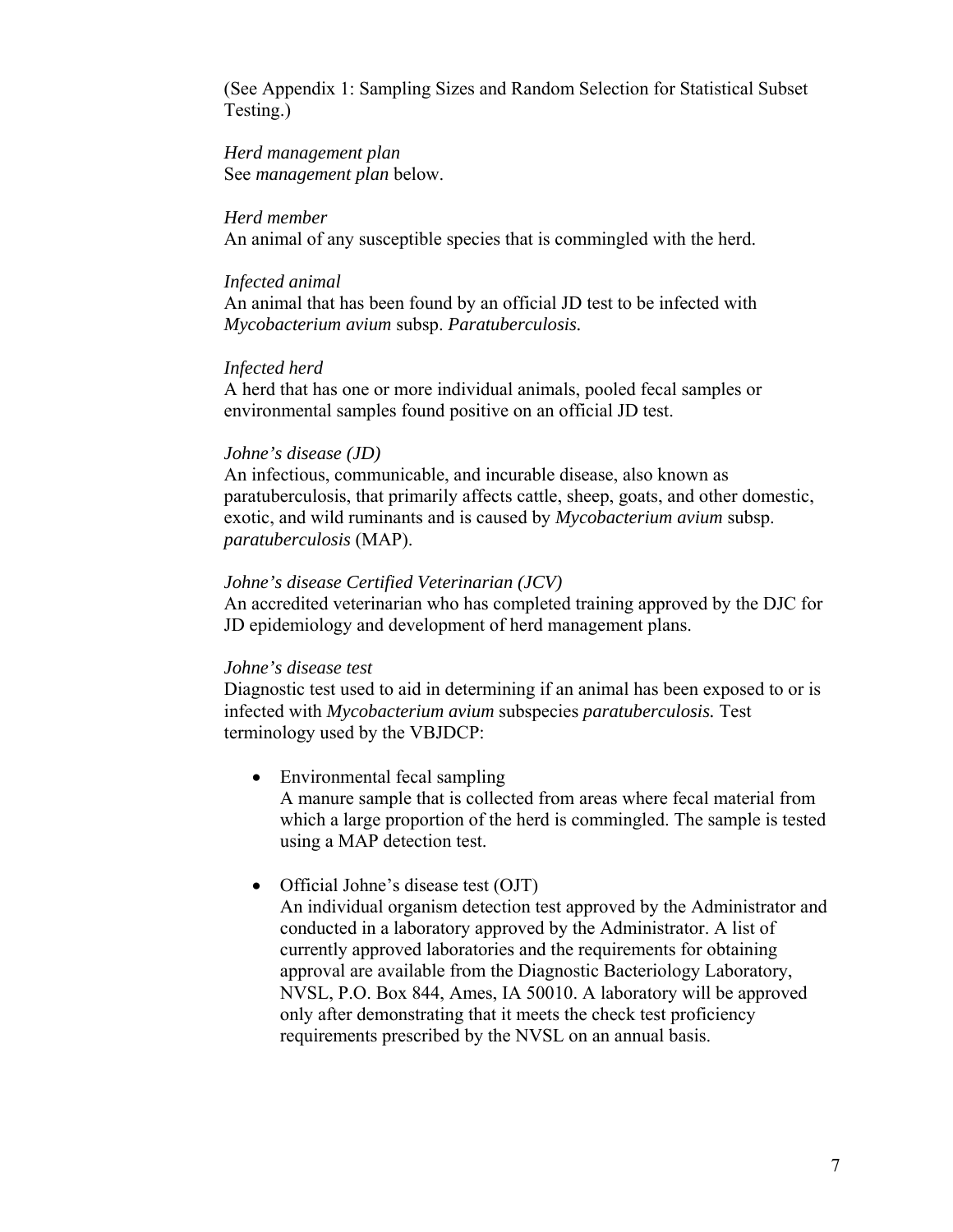(See Appendix 1: Sampling Sizes and Random Selection for Statistical Subset Testing.)

*Herd management plan*  See *management plan* below.

#### *Herd member*

An animal of any susceptible species that is commingled with the herd.

#### *Infected animal*

An animal that has been found by an official JD test to be infected with *Mycobacterium avium* subsp. *Paratuberculosis.*

## *Infected herd*

A herd that has one or more individual animals, pooled fecal samples or environmental samples found positive on an official JD test.

#### *Johne's disease (JD)*

An infectious, communicable, and incurable disease, also known as paratuberculosis, that primarily affects cattle, sheep, goats, and other domestic, exotic, and wild ruminants and is caused by *Mycobacterium avium* subsp. *paratuberculosis* (MAP).

## *Johne's disease Certified Veterinarian (JCV)*

An accredited veterinarian who has completed training approved by the DJC for JD epidemiology and development of herd management plans.

#### *Johne's disease test*

Diagnostic test used to aid in determining if an animal has been exposed to or is infected with *Mycobacterium avium* subspecies *paratuberculosis.* Test terminology used by the VBJDCP:

## • Environmental fecal sampling

A manure sample that is collected from areas where fecal material from which a large proportion of the herd is commingled. The sample is tested using a MAP detection test.

## • Official Johne's disease test (OJT)

An individual organism detection test approved by the Administrator and conducted in a laboratory approved by the Administrator. A list of currently approved laboratories and the requirements for obtaining approval are available from the Diagnostic Bacteriology Laboratory, NVSL, P.O. Box 844, Ames, IA 50010. A laboratory will be approved only after demonstrating that it meets the check test proficiency requirements prescribed by the NVSL on an annual basis.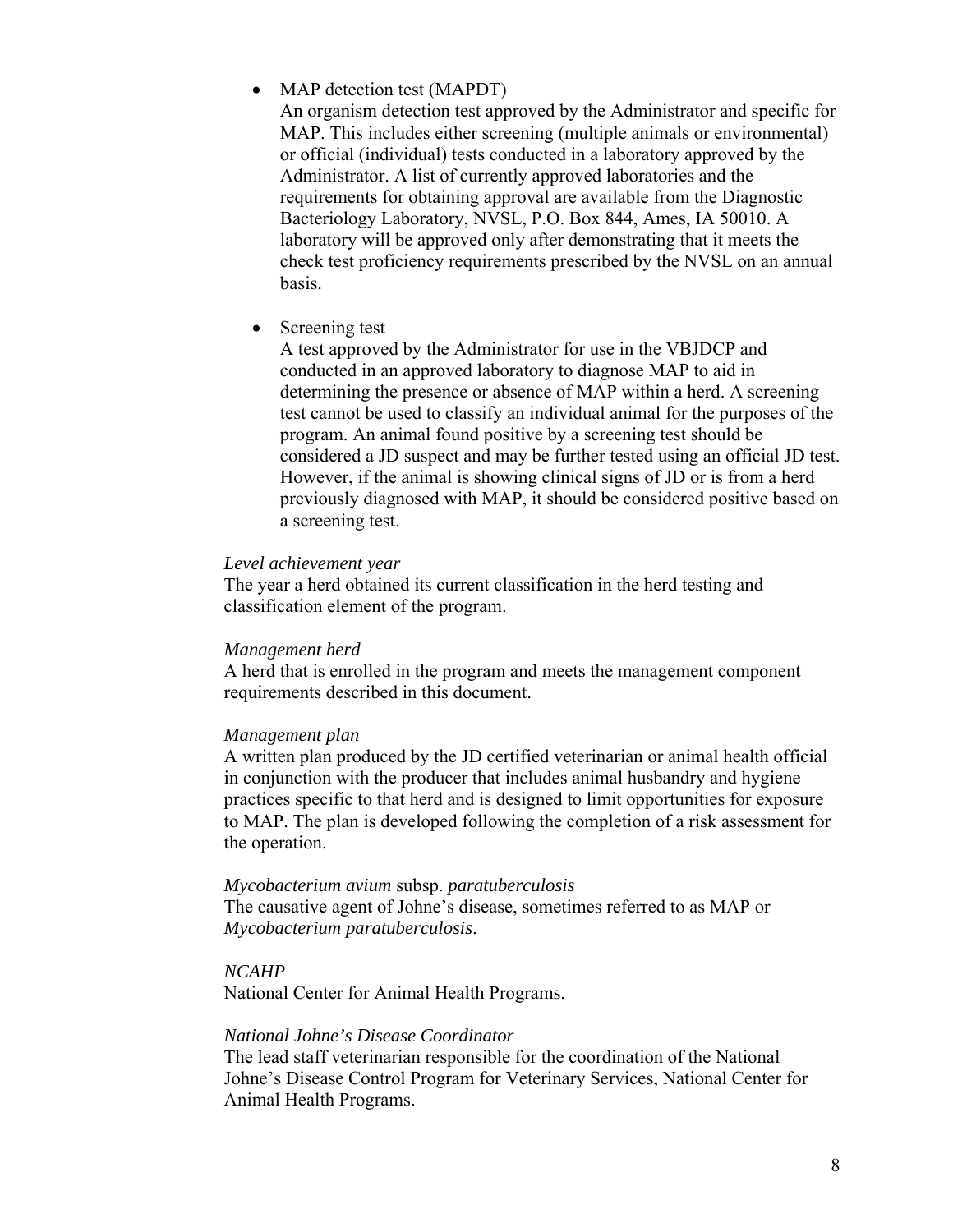## • MAP detection test (MAPDT)

An organism detection test approved by the Administrator and specific for MAP. This includes either screening (multiple animals or environmental) or official (individual) tests conducted in a laboratory approved by the Administrator. A list of currently approved laboratories and the requirements for obtaining approval are available from the Diagnostic Bacteriology Laboratory, NVSL, P.O. Box 844, Ames, IA 50010. A laboratory will be approved only after demonstrating that it meets the check test proficiency requirements prescribed by the NVSL on an annual basis.

• Screening test

A test approved by the Administrator for use in the VBJDCP and conducted in an approved laboratory to diagnose MAP to aid in determining the presence or absence of MAP within a herd. A screening test cannot be used to classify an individual animal for the purposes of the program. An animal found positive by a screening test should be considered a JD suspect and may be further tested using an official JD test. However, if the animal is showing clinical signs of JD or is from a herd previously diagnosed with MAP, it should be considered positive based on a screening test.

#### *Level achievement year*

The year a herd obtained its current classification in the herd testing and classification element of the program.

#### *Management herd*

A herd that is enrolled in the program and meets the management component requirements described in this document.

## *Management plan*

A written plan produced by the JD certified veterinarian or animal health official in conjunction with the producer that includes animal husbandry and hygiene practices specific to that herd and is designed to limit opportunities for exposure to MAP. The plan is developed following the completion of a risk assessment for the operation.

## *Mycobacterium avium* subsp. *paratuberculosis*

The causative agent of Johne's disease, sometimes referred to as MAP or *Mycobacterium paratuberculosis*.

## *NCAHP*

National Center for Animal Health Programs.

#### *National Johne's Disease Coordinator*

The lead staff veterinarian responsible for the coordination of the National Johne's Disease Control Program for Veterinary Services, National Center for Animal Health Programs.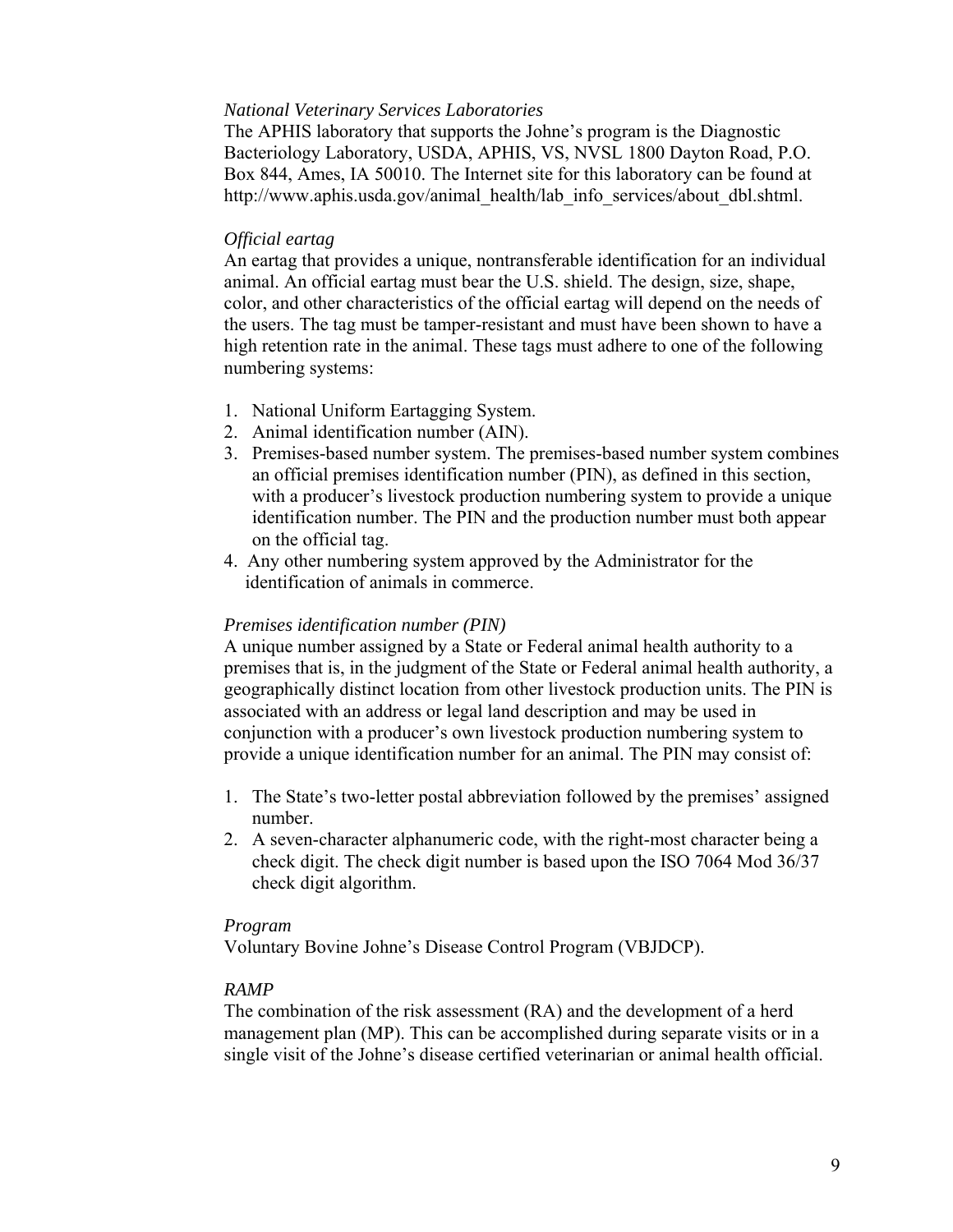## *National Veterinary Services Laboratories*

The APHIS laboratory that supports the Johne's program is the Diagnostic Bacteriology Laboratory, USDA, APHIS, VS, NVSL 1800 Dayton Road, P.O. Box 844, Ames, IA 50010. The Internet site for this laboratory can be found at http://www.aphis.usda.gov/animal\_health/lab\_info\_services/about\_dbl.shtml.

#### *Official eartag*

An eartag that provides a unique, nontransferable identification for an individual animal. An official eartag must bear the U.S. shield. The design, size, shape, color, and other characteristics of the official eartag will depend on the needs of the users. The tag must be tamper-resistant and must have been shown to have a high retention rate in the animal. These tags must adhere to one of the following numbering systems:

- 1. National Uniform Eartagging System.
- 2. Animal identification number (AIN).
- 3. Premises-based number system. The premises-based number system combines an official premises identification number (PIN), as defined in this section, with a producer's livestock production numbering system to provide a unique identification number. The PIN and the production number must both appear on the official tag.
- 4. Any other numbering system approved by the Administrator for the identification of animals in commerce.

## *Premises identification number (PIN)*

A unique number assigned by a State or Federal animal health authority to a premises that is, in the judgment of the State or Federal animal health authority, a geographically distinct location from other livestock production units. The PIN is associated with an address or legal land description and may be used in conjunction with a producer's own livestock production numbering system to provide a unique identification number for an animal. The PIN may consist of:

- 1. The State's two-letter postal abbreviation followed by the premises' assigned number.
- 2. A seven-character alphanumeric code, with the right-most character being a check digit. The check digit number is based upon the ISO 7064 Mod 36/37 check digit algorithm.

## *Program*

Voluntary Bovine Johne's Disease Control Program (VBJDCP).

## *RAMP*

The combination of the risk assessment (RA) and the development of a herd management plan (MP). This can be accomplished during separate visits or in a single visit of the Johne's disease certified veterinarian or animal health official.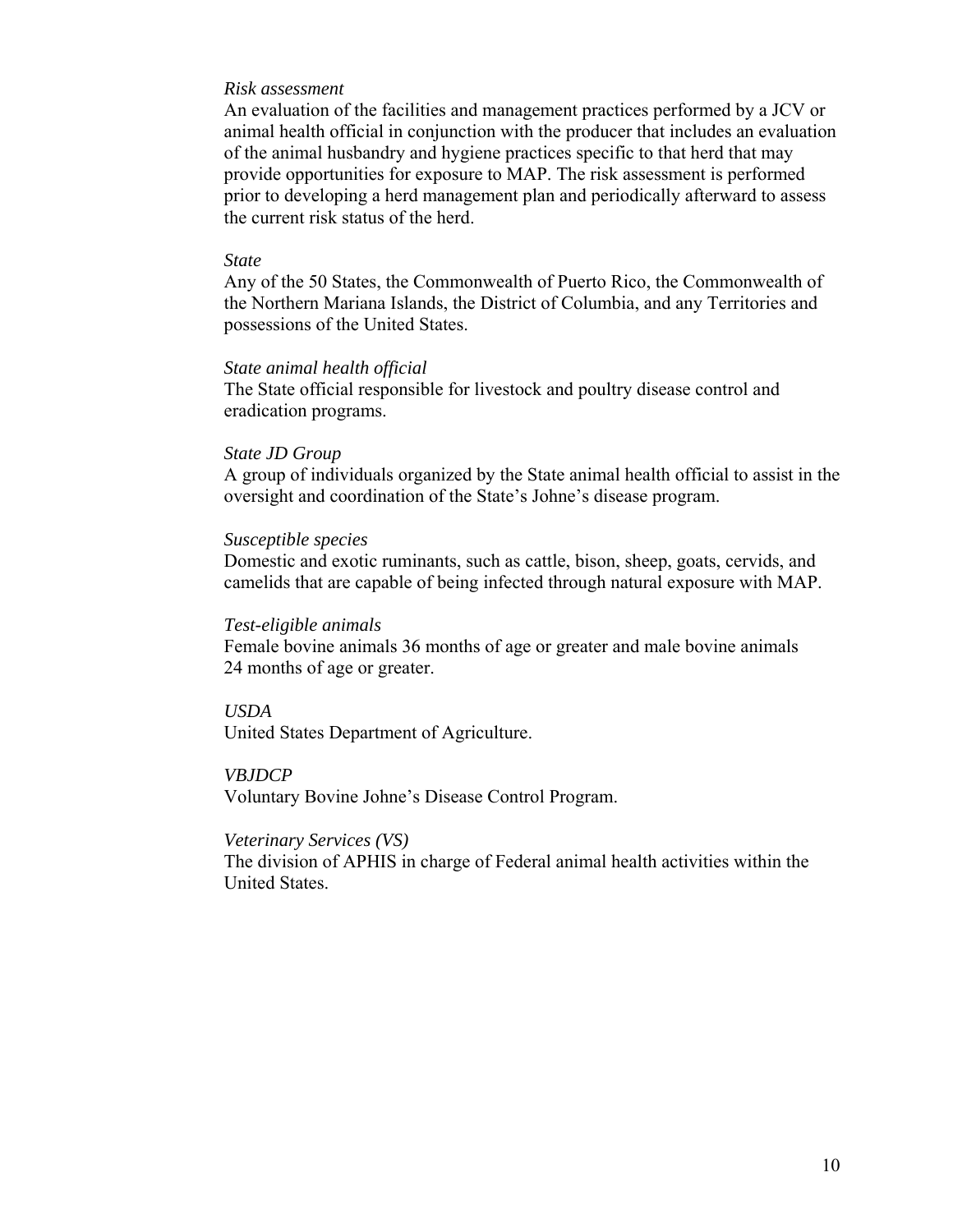#### *Risk assessment*

An evaluation of the facilities and management practices performed by a JCV or animal health official in conjunction with the producer that includes an evaluation of the animal husbandry and hygiene practices specific to that herd that may provide opportunities for exposure to MAP. The risk assessment is performed prior to developing a herd management plan and periodically afterward to assess the current risk status of the herd.

#### *State*

Any of the 50 States, the Commonwealth of Puerto Rico, the Commonwealth of the Northern Mariana Islands, the District of Columbia, and any Territories and possessions of the United States.

#### *State animal health official*

The State official responsible for livestock and poultry disease control and eradication programs.

#### *State JD Group*

A group of individuals organized by the State animal health official to assist in the oversight and coordination of the State's Johne's disease program.

#### *Susceptible species*

Domestic and exotic ruminants, such as cattle, bison, sheep, goats, cervids, and camelids that are capable of being infected through natural exposure with MAP.

#### *Test-eligible animals*

Female bovine animals 36 months of age or greater and male bovine animals 24 months of age or greater.

#### *USDA*

United States Department of Agriculture.

#### *VBJDCP*

Voluntary Bovine Johne's Disease Control Program.

#### *Veterinary Services (VS)*

The division of APHIS in charge of Federal animal health activities within the United States.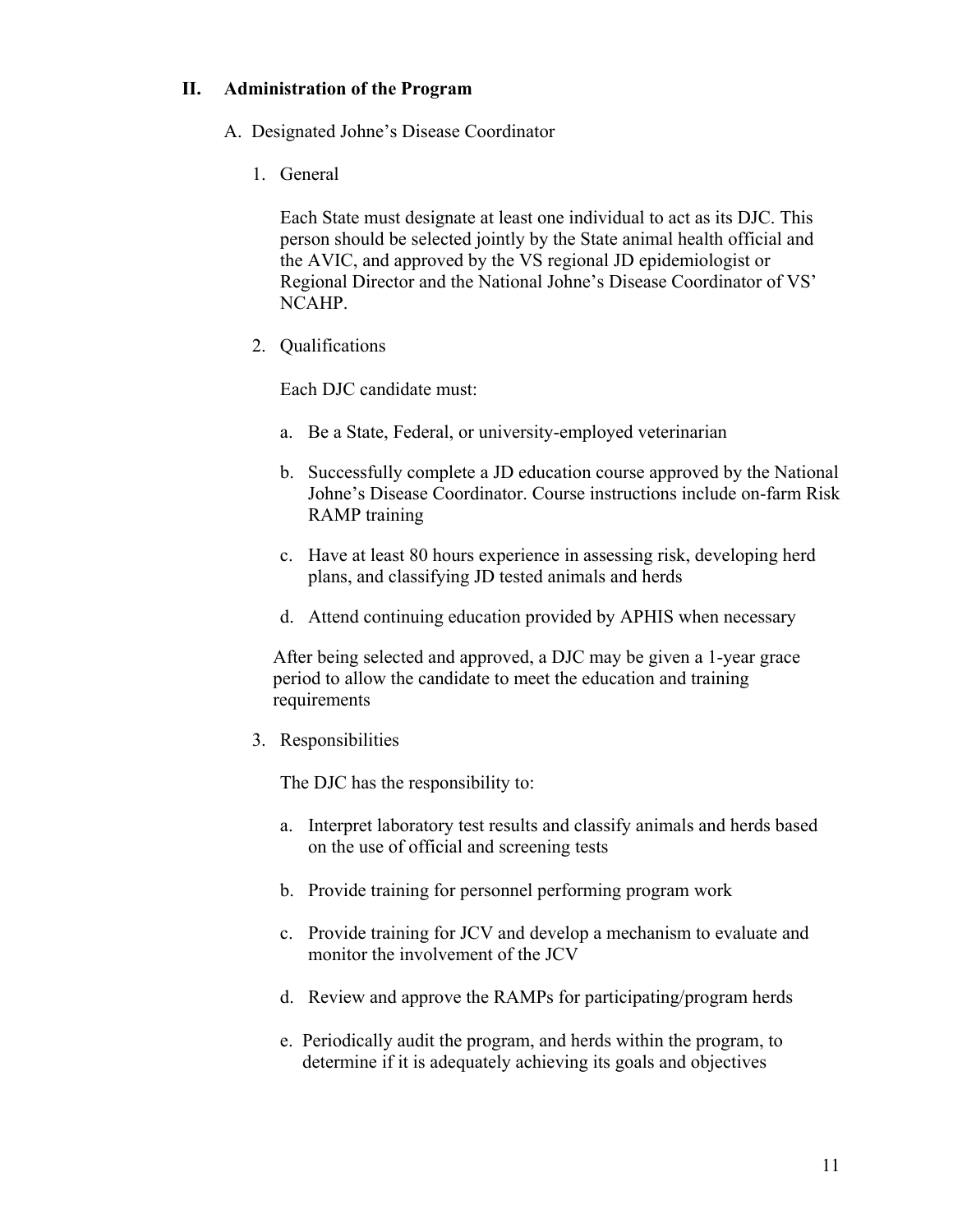## **II. Administration of the Program**

- A. Designated Johne's Disease Coordinator
	- 1. General

Each State must designate at least one individual to act as its DJC. This person should be selected jointly by the State animal health official and the AVIC, and approved by the VS regional JD epidemiologist or Regional Director and the National Johne's Disease Coordinator of VS' NCAHP.

2. Qualifications

Each DJC candidate must:

- a. Be a State, Federal, or university-employed veterinarian
- b. Successfully complete a JD education course approved by the National Johne's Disease Coordinator. Course instructions include on-farm Risk RAMP training
- c. Have at least 80 hours experience in assessing risk, developing herd plans, and classifying JD tested animals and herds
- d. Attend continuing education provided by APHIS when necessary

After being selected and approved, a DJC may be given a 1-year grace period to allow the candidate to meet the education and training requirements

3. Responsibilities

The DJC has the responsibility to:

- a. Interpret laboratory test results and classify animals and herds based on the use of official and screening tests
- b. Provide training for personnel performing program work
- c. Provide training for JCV and develop a mechanism to evaluate and monitor the involvement of the JCV
- d. Review and approve the RAMPs for participating/program herds
- e. Periodically audit the program, and herds within the program, to determine if it is adequately achieving its goals and objectives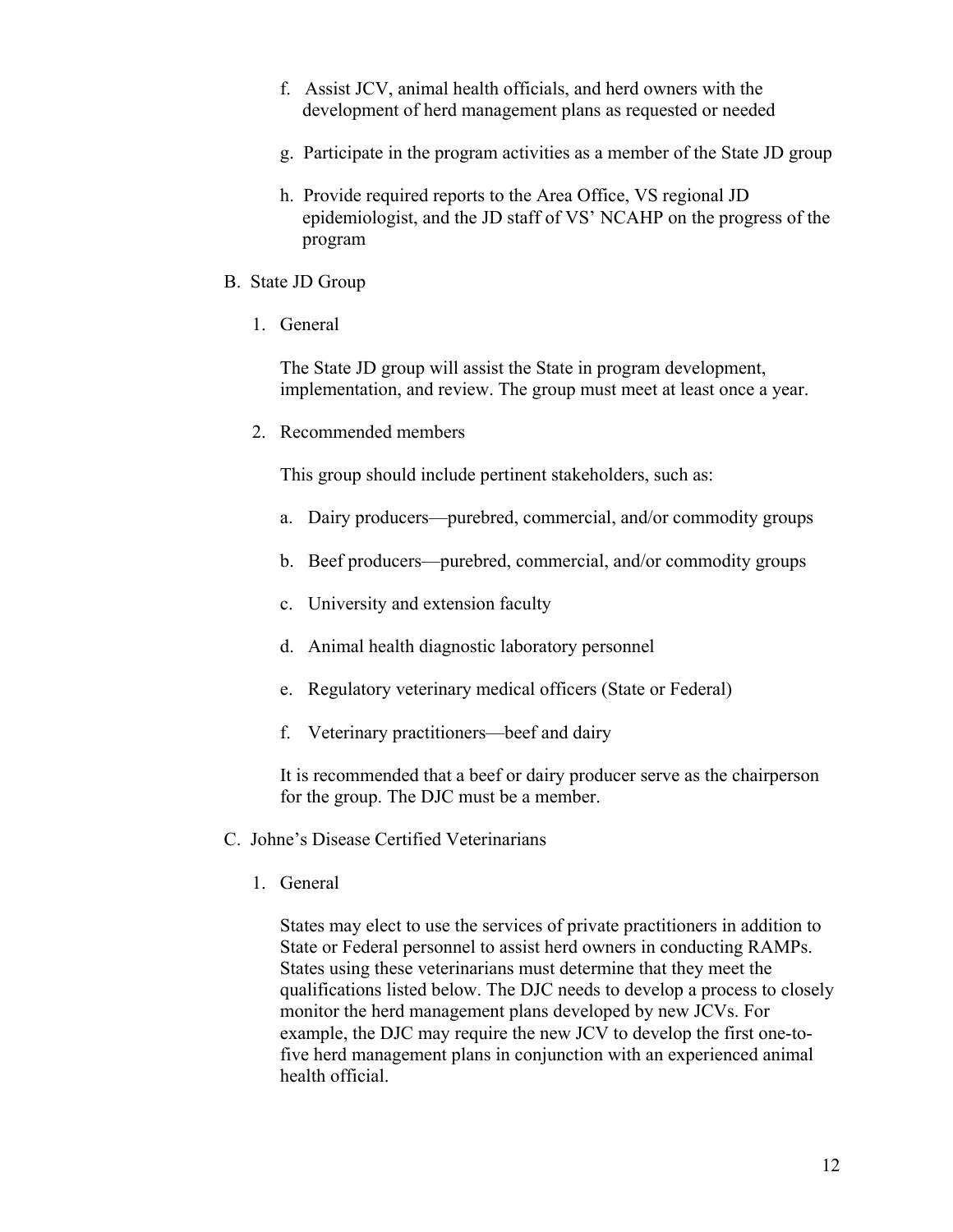- f. Assist JCV, animal health officials, and herd owners with the development of herd management plans as requested or needed
- g. Participate in the program activities as a member of the State JD group
- h. Provide required reports to the Area Office, VS regional JD epidemiologist, and the JD staff of VS' NCAHP on the progress of the program
- B. State JD Group
	- 1. General

The State JD group will assist the State in program development, implementation, and review. The group must meet at least once a year.

2. Recommended members

This group should include pertinent stakeholders, such as:

- a. Dairy producers—purebred, commercial, and/or commodity groups
- b. Beef producers—purebred, commercial, and/or commodity groups
- c. University and extension faculty
- d. Animal health diagnostic laboratory personnel
- e. Regulatory veterinary medical officers (State or Federal)
- f. Veterinary practitioners—beef and dairy

It is recommended that a beef or dairy producer serve as the chairperson for the group. The DJC must be a member.

- C. Johne's Disease Certified Veterinarians
	- 1. General

States may elect to use the services of private practitioners in addition to State or Federal personnel to assist herd owners in conducting RAMPs. States using these veterinarians must determine that they meet the qualifications listed below. The DJC needs to develop a process to closely monitor the herd management plans developed by new JCVs. For example, the DJC may require the new JCV to develop the first one-tofive herd management plans in conjunction with an experienced animal health official.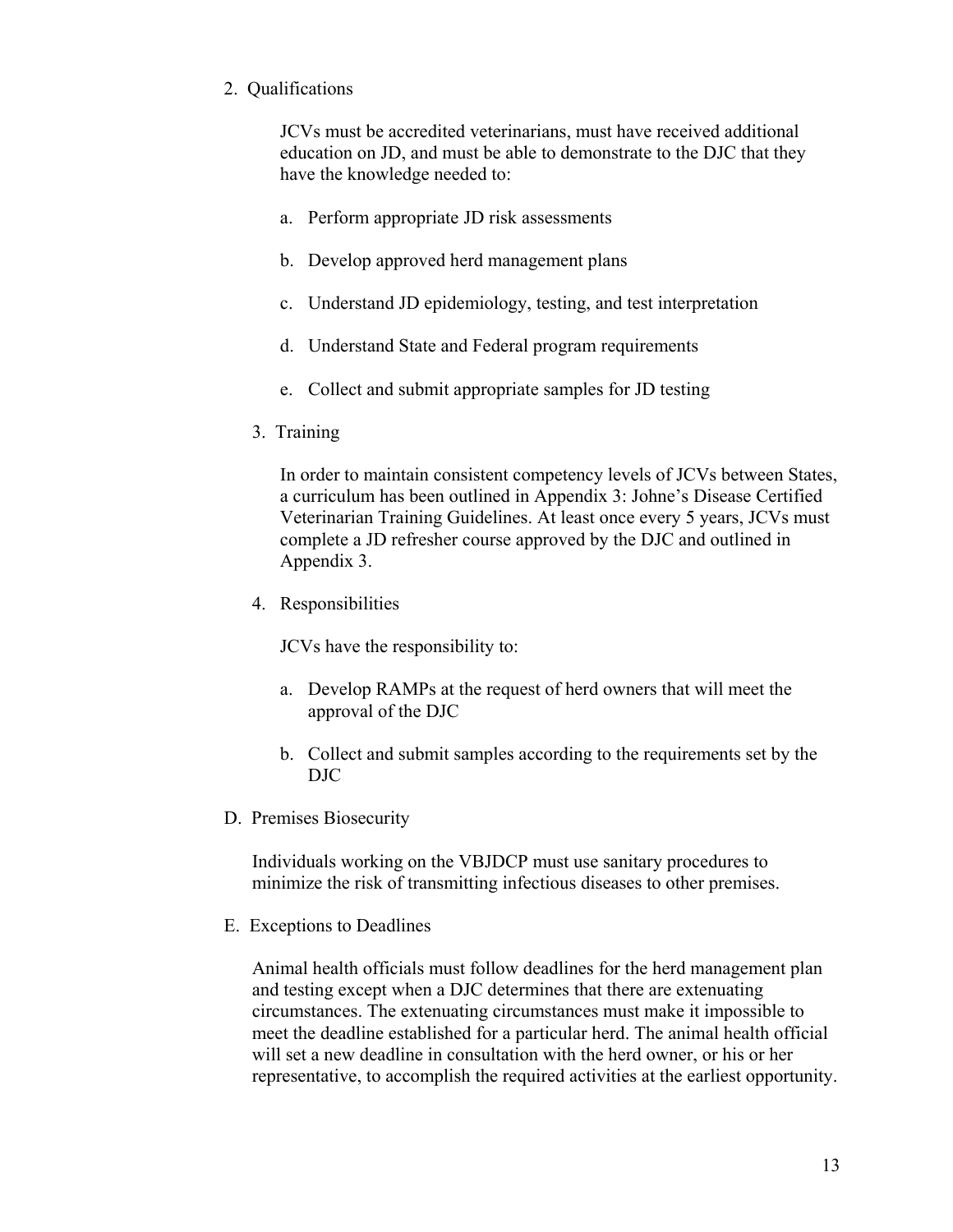# 2. Qualifications

JCVs must be accredited veterinarians, must have received additional education on JD, and must be able to demonstrate to the DJC that they have the knowledge needed to:

- a. Perform appropriate JD risk assessments
- b. Develop approved herd management plans
- c. Understand JD epidemiology, testing, and test interpretation
- d. Understand State and Federal program requirements
- e. Collect and submit appropriate samples for JD testing
- 3. Training

In order to maintain consistent competency levels of JCVs between States, a curriculum has been outlined in Appendix 3: Johne's Disease Certified Veterinarian Training Guidelines. At least once every 5 years, JCVs must complete a JD refresher course approved by the DJC and outlined in Appendix 3.

4. Responsibilities

JCVs have the responsibility to:

- a. Develop RAMPs at the request of herd owners that will meet the approval of the DJC
- b. Collect and submit samples according to the requirements set by the DJC
- D. Premises Biosecurity

Individuals working on the VBJDCP must use sanitary procedures to minimize the risk of transmitting infectious diseases to other premises.

E. Exceptions to Deadlines

Animal health officials must follow deadlines for the herd management plan and testing except when a DJC determines that there are extenuating circumstances. The extenuating circumstances must make it impossible to meet the deadline established for a particular herd. The animal health official will set a new deadline in consultation with the herd owner, or his or her representative, to accomplish the required activities at the earliest opportunity.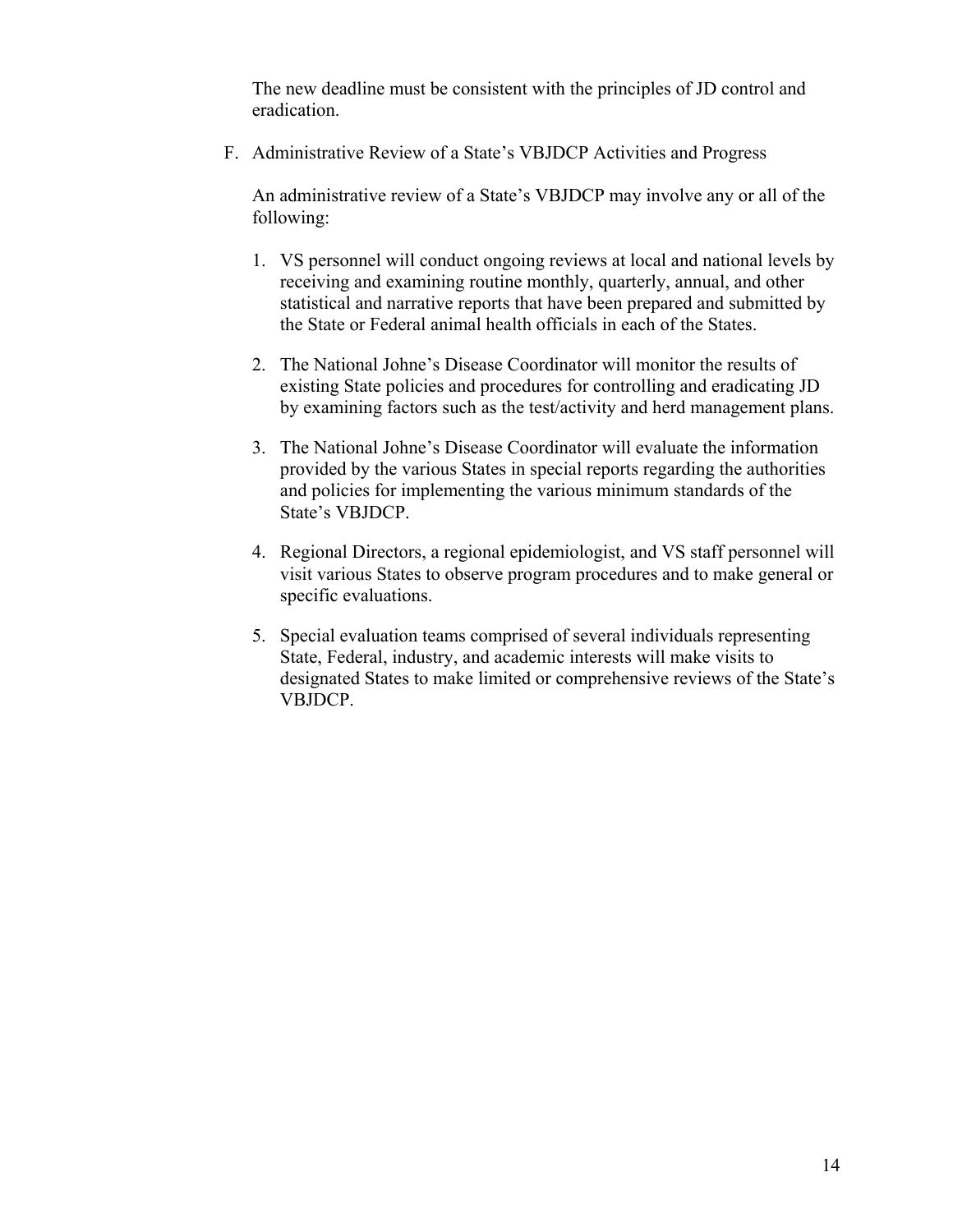The new deadline must be consistent with the principles of JD control and eradication.

F. Administrative Review of a State's VBJDCP Activities and Progress

An administrative review of a State's VBJDCP may involve any or all of the following:

- 1. VS personnel will conduct ongoing reviews at local and national levels by receiving and examining routine monthly, quarterly, annual, and other statistical and narrative reports that have been prepared and submitted by the State or Federal animal health officials in each of the States.
- 2. The National Johne's Disease Coordinator will monitor the results of existing State policies and procedures for controlling and eradicating JD by examining factors such as the test/activity and herd management plans.
- 3. The National Johne's Disease Coordinator will evaluate the information provided by the various States in special reports regarding the authorities and policies for implementing the various minimum standards of the State's VBJDCP.
- 4. Regional Directors, a regional epidemiologist, and VS staff personnel will visit various States to observe program procedures and to make general or specific evaluations.
- 5. Special evaluation teams comprised of several individuals representing State, Federal, industry, and academic interests will make visits to designated States to make limited or comprehensive reviews of the State's VBJDCP.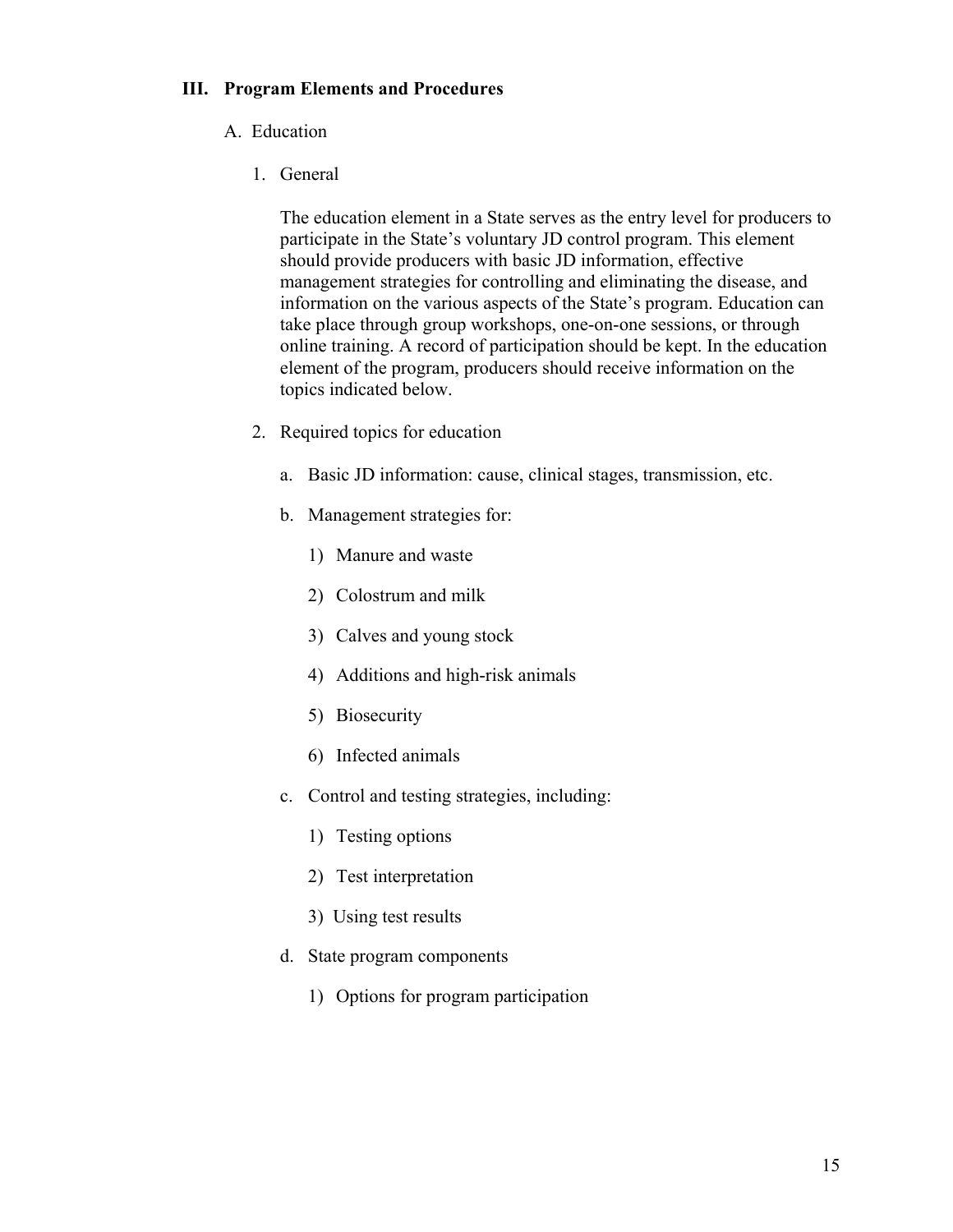## **III. Program Elements and Procedures**

## A. Education

1. General

The education element in a State serves as the entry level for producers to participate in the State's voluntary JD control program. This element should provide producers with basic JD information, effective management strategies for controlling and eliminating the disease, and information on the various aspects of the State's program. Education can take place through group workshops, one-on-one sessions, or through online training. A record of participation should be kept. In the education element of the program, producers should receive information on the topics indicated below.

- 2. Required topics for education
	- a. Basic JD information: cause, clinical stages, transmission, etc.
	- b. Management strategies for:
		- 1) Manure and waste
		- 2) Colostrum and milk
		- 3) Calves and young stock
		- 4) Additions and high-risk animals
		- 5) Biosecurity
		- 6) Infected animals
	- c. Control and testing strategies, including:
		- 1) Testing options
		- 2) Test interpretation
		- 3) Using test results
	- d. State program components
		- 1) Options for program participation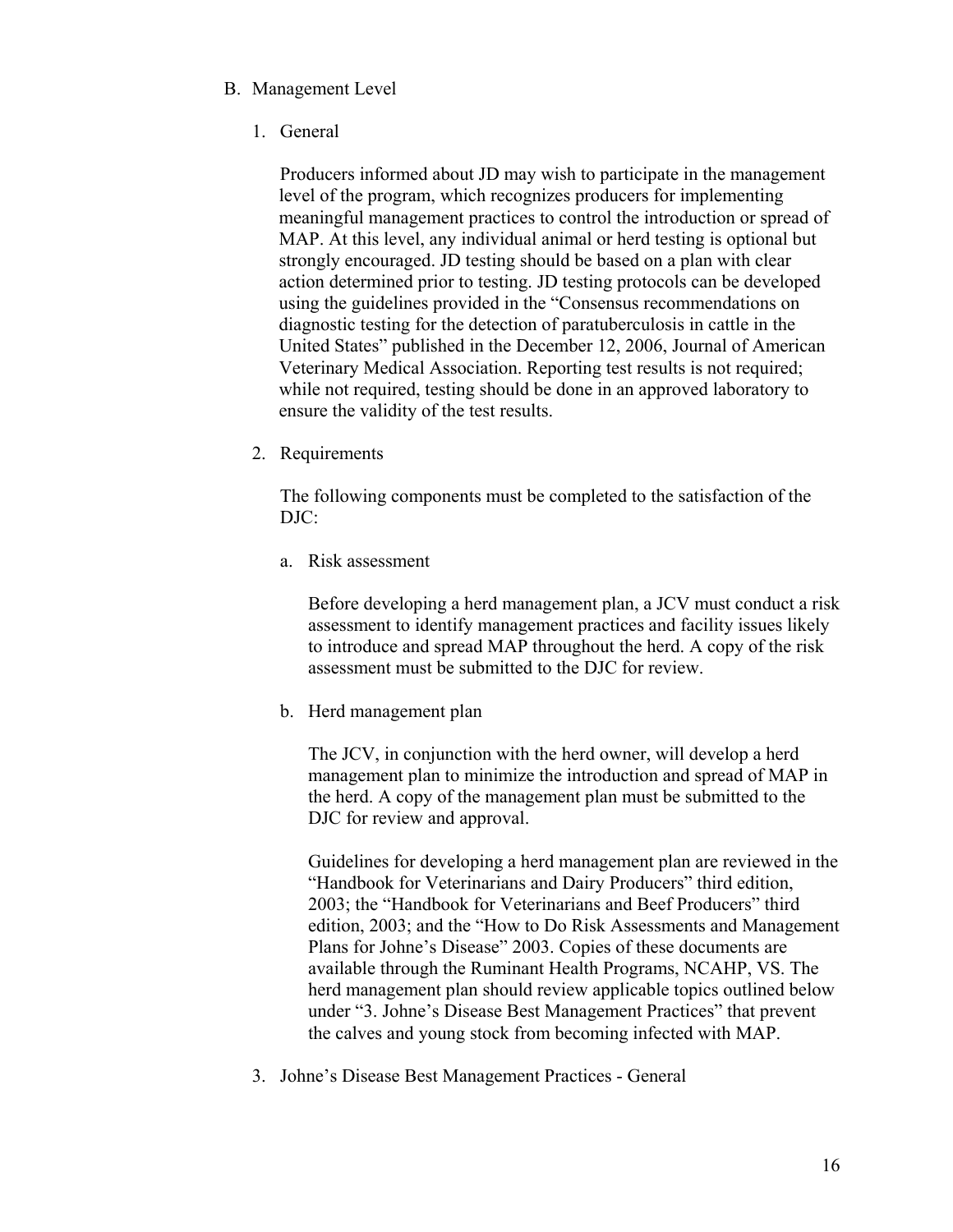# B. Management Level

1. General

 Producers informed about JD may wish to participate in the management level of the program, which recognizes producers for implementing meaningful management practices to control the introduction or spread of MAP. At this level, any individual animal or herd testing is optional but strongly encouraged. JD testing should be based on a plan with clear action determined prior to testing. JD testing protocols can be developed using the guidelines provided in the "Consensus recommendations on diagnostic testing for the detection of paratuberculosis in cattle in the United States" published in the December 12, 2006, Journal of American Veterinary Medical Association. Reporting test results is not required; while not required, testing should be done in an approved laboratory to ensure the validity of the test results.

2. Requirements

The following components must be completed to the satisfaction of the DJC:

a. Risk assessment

Before developing a herd management plan, a JCV must conduct a risk assessment to identify management practices and facility issues likely to introduce and spread MAP throughout the herd. A copy of the risk assessment must be submitted to the DJC for review.

b. Herd management plan

 The JCV, in conjunction with the herd owner, will develop a herd management plan to minimize the introduction and spread of MAP in the herd. A copy of the management plan must be submitted to the DJC for review and approval.

Guidelines for developing a herd management plan are reviewed in the "Handbook for Veterinarians and Dairy Producers" third edition, 2003; the "Handbook for Veterinarians and Beef Producers" third edition, 2003; and the "How to Do Risk Assessments and Management Plans for Johne's Disease" 2003. Copies of these documents are available through the Ruminant Health Programs, NCAHP, VS. The herd management plan should review applicable topics outlined below under "3. Johne's Disease Best Management Practices" that prevent the calves and young stock from becoming infected with MAP.

3. Johne's Disease Best Management Practices - General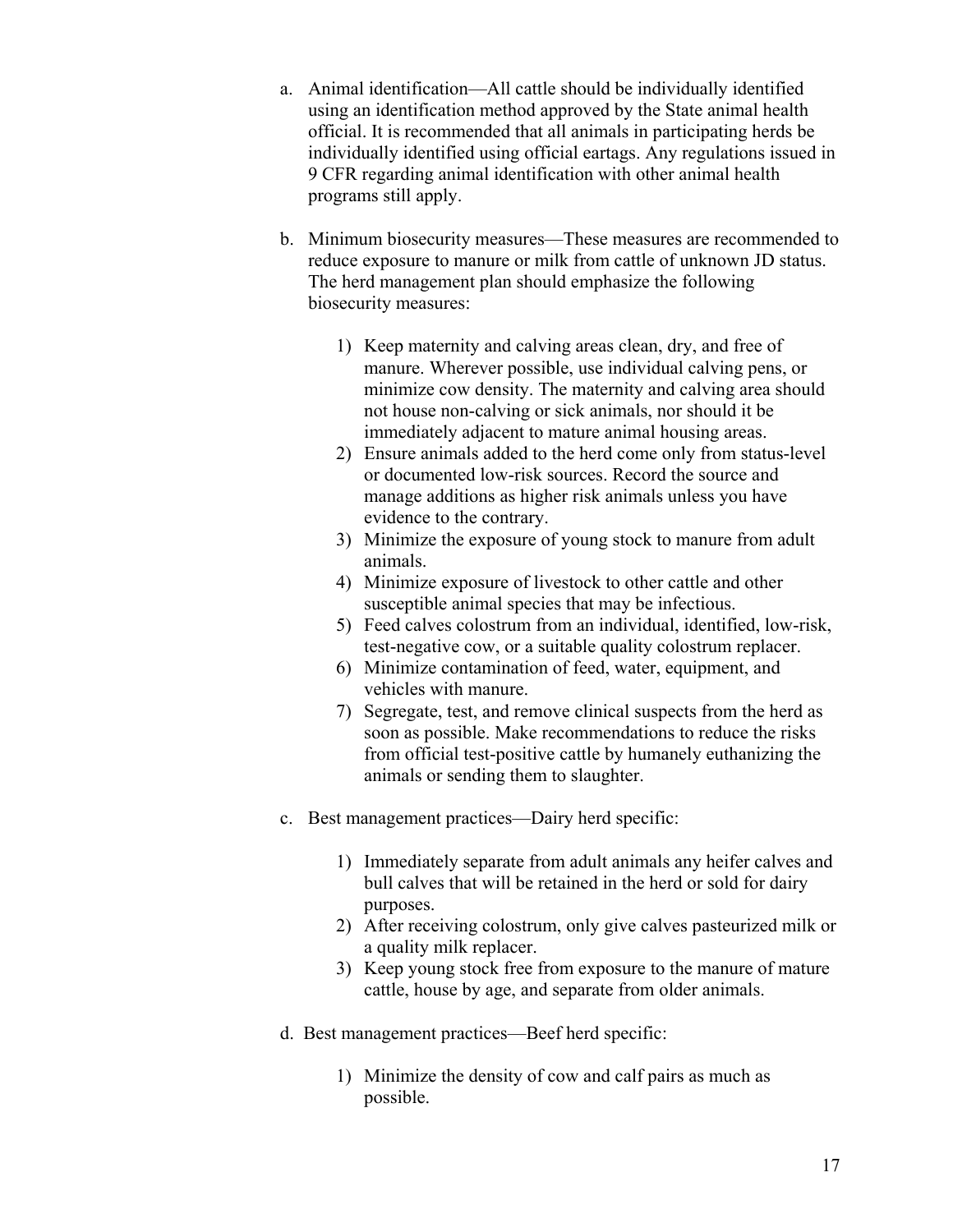- a. Animal identification—All cattle should be individually identified using an identification method approved by the State animal health official. It is recommended that all animals in participating herds be individually identified using official eartags. Any regulations issued in 9 CFR regarding animal identification with other animal health programs still apply.
- b. Minimum biosecurity measures—These measures are recommended to reduce exposure to manure or milk from cattle of unknown JD status. The herd management plan should emphasize the following biosecurity measures:
	- 1) Keep maternity and calving areas clean, dry, and free of manure. Wherever possible, use individual calving pens, or minimize cow density. The maternity and calving area should not house non-calving or sick animals, nor should it be immediately adjacent to mature animal housing areas.
	- 2) Ensure animals added to the herd come only from status-level or documented low-risk sources. Record the source and manage additions as higher risk animals unless you have evidence to the contrary.
	- 3) Minimize the exposure of young stock to manure from adult animals.
	- 4) Minimize exposure of livestock to other cattle and other susceptible animal species that may be infectious.
	- 5) Feed calves colostrum from an individual, identified, low-risk, test-negative cow, or a suitable quality colostrum replacer.
	- 6) Minimize contamination of feed, water, equipment, and vehicles with manure.
	- 7) Segregate, test, and remove clinical suspects from the herd as soon as possible. Make recommendations to reduce the risks from official test-positive cattle by humanely euthanizing the animals or sending them to slaughter.
- c. Best management practices—Dairy herd specific:
	- 1) Immediately separate from adult animals any heifer calves and bull calves that will be retained in the herd or sold for dairy purposes.
	- 2) After receiving colostrum, only give calves pasteurized milk or a quality milk replacer.
	- 3) Keep young stock free from exposure to the manure of mature cattle, house by age, and separate from older animals.
- d. Best management practices—Beef herd specific:
	- 1) Minimize the density of cow and calf pairs as much as possible.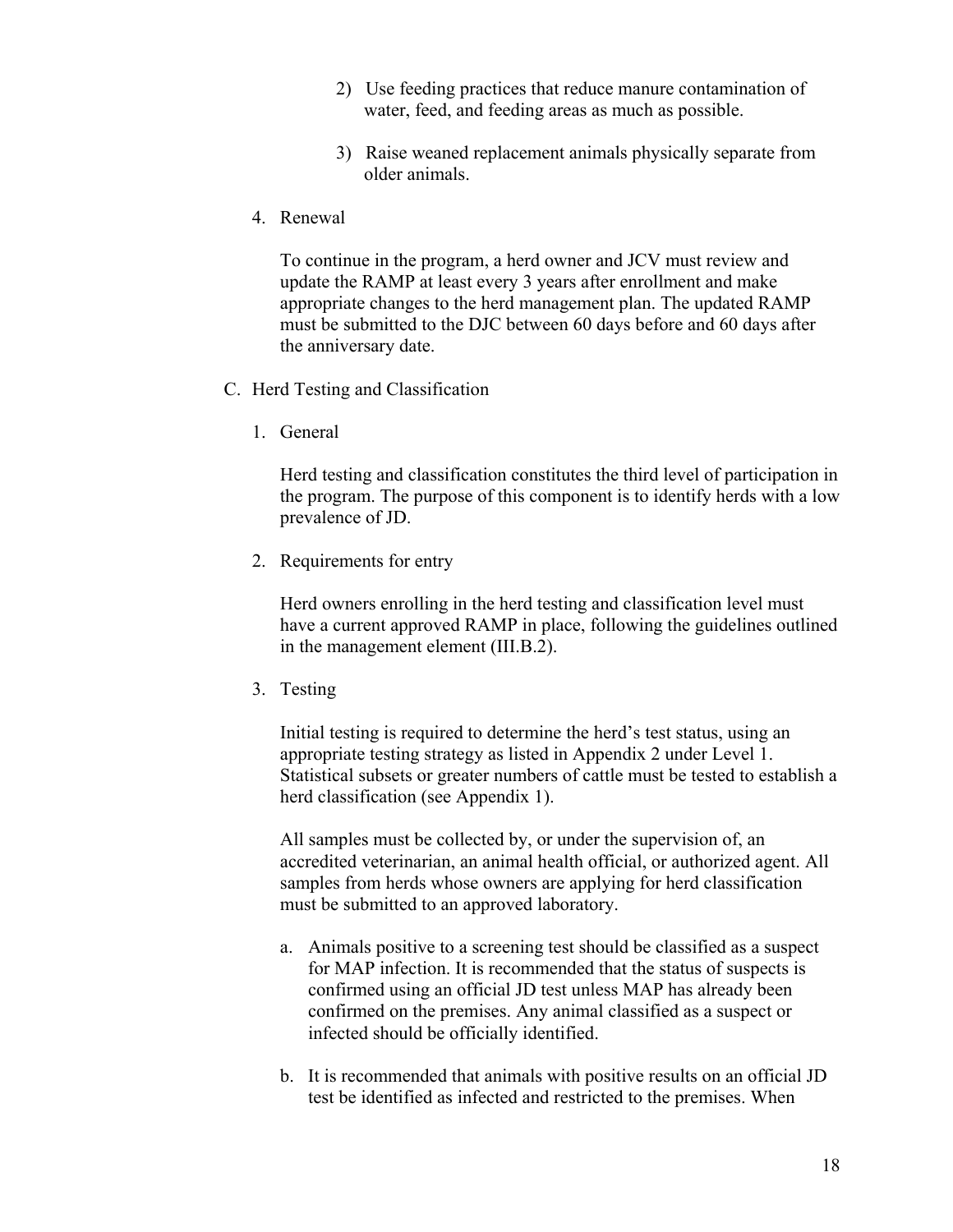- 2) Use feeding practices that reduce manure contamination of water, feed, and feeding areas as much as possible.
- 3) Raise weaned replacement animals physically separate from older animals.
- 4. Renewal

To continue in the program, a herd owner and JCV must review and update the RAMP at least every 3 years after enrollment and make appropriate changes to the herd management plan. The updated RAMP must be submitted to the DJC between 60 days before and 60 days after the anniversary date.

- C. Herd Testing and Classification
	- 1. General

Herd testing and classification constitutes the third level of participation in the program. The purpose of this component is to identify herds with a low prevalence of JD.

2. Requirements for entry

Herd owners enrolling in the herd testing and classification level must have a current approved RAMP in place, following the guidelines outlined in the management element (III.B.2).

3. Testing

Initial testing is required to determine the herd's test status, using an appropriate testing strategy as listed in Appendix 2 under Level 1. Statistical subsets or greater numbers of cattle must be tested to establish a herd classification (see Appendix 1).

All samples must be collected by, or under the supervision of, an accredited veterinarian, an animal health official, or authorized agent. All samples from herds whose owners are applying for herd classification must be submitted to an approved laboratory.

- a. Animals positive to a screening test should be classified as a suspect for MAP infection. It is recommended that the status of suspects is confirmed using an official JD test unless MAP has already been confirmed on the premises. Any animal classified as a suspect or infected should be officially identified.
- b. It is recommended that animals with positive results on an official JD test be identified as infected and restricted to the premises. When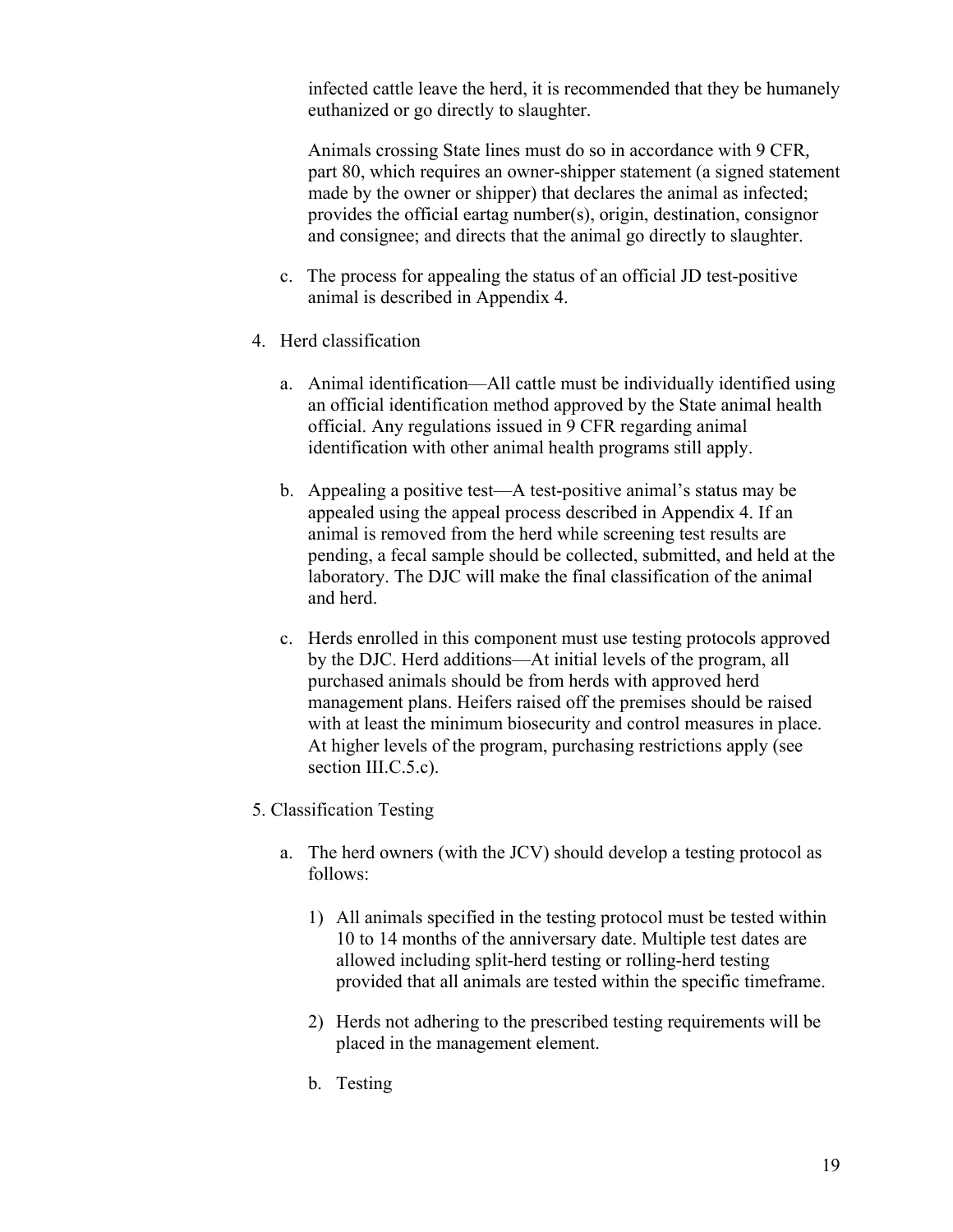infected cattle leave the herd, it is recommended that they be humanely euthanized or go directly to slaughter.

Animals crossing State lines must do so in accordance with 9 CFR*,* part 80, which requires an owner-shipper statement (a signed statement made by the owner or shipper) that declares the animal as infected; provides the official eartag number(s), origin, destination, consignor and consignee; and directs that the animal go directly to slaughter.

- c. The process for appealing the status of an official JD test-positive animal is described in Appendix 4.
- 4. Herd classification
	- a. Animal identification—All cattle must be individually identified using an official identification method approved by the State animal health official. Any regulations issued in 9 CFR regarding animal identification with other animal health programs still apply.
	- b. Appealing a positive test—A test-positive animal's status may be appealed using the appeal process described in Appendix 4. If an animal is removed from the herd while screening test results are pending, a fecal sample should be collected, submitted, and held at the laboratory. The DJC will make the final classification of the animal and herd.
	- c. Herds enrolled in this component must use testing protocols approved by the DJC. Herd additions—At initial levels of the program, all purchased animals should be from herds with approved herd management plans. Heifers raised off the premises should be raised with at least the minimum biosecurity and control measures in place. At higher levels of the program, purchasing restrictions apply (see section III.C.5.c).
- 5. Classification Testing
	- a. The herd owners (with the JCV) should develop a testing protocol as follows:
		- 1) All animals specified in the testing protocol must be tested within 10 to 14 months of the anniversary date. Multiple test dates are allowed including split-herd testing or rolling-herd testing provided that all animals are tested within the specific timeframe.
		- 2) Herds not adhering to the prescribed testing requirements will be placed in the management element.
		- b. Testing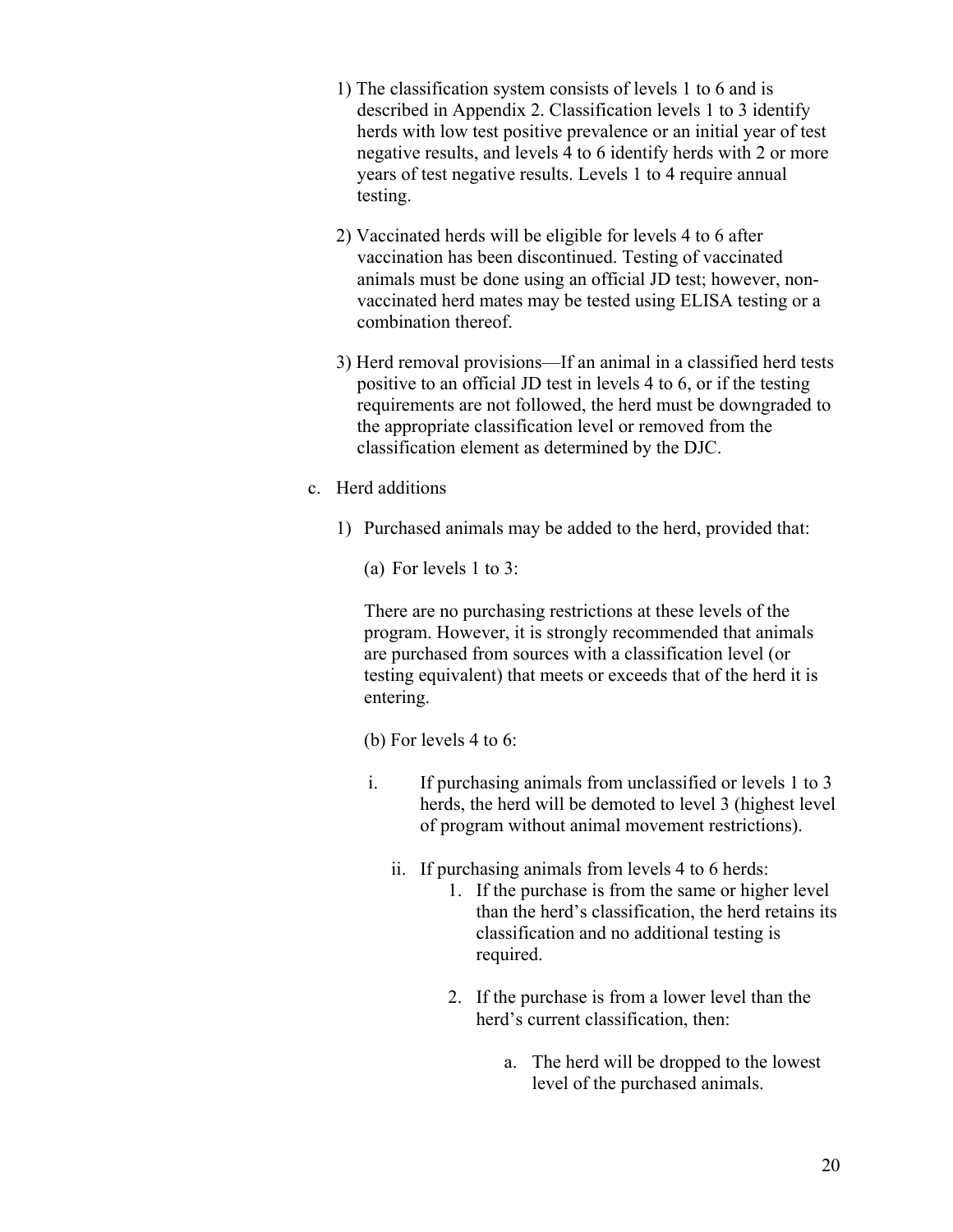- 1) The classification system consists of levels 1 to 6 and is described in Appendix 2. Classification levels 1 to 3 identify herds with low test positive prevalence or an initial year of test negative results, and levels 4 to 6 identify herds with 2 or more years of test negative results. Levels 1 to 4 require annual testing.
- 2) Vaccinated herds will be eligible for levels 4 to 6 after vaccination has been discontinued. Testing of vaccinated animals must be done using an official JD test; however, nonvaccinated herd mates may be tested using ELISA testing or a combination thereof.
- 3) Herd removal provisions—If an animal in a classified herd tests positive to an official JD test in levels 4 to 6, or if the testing requirements are not followed, the herd must be downgraded to the appropriate classification level or removed from the classification element as determined by the DJC.
- c. Herd additions
	- 1) Purchased animals may be added to the herd, provided that:
		- (a) For levels 1 to 3:

 There are no purchasing restrictions at these levels of the program. However, it is strongly recommended that animals are purchased from sources with a classification level (or testing equivalent) that meets or exceeds that of the herd it is entering.

(b) For levels 4 to 6:

- i. If purchasing animals from unclassified or levels 1 to 3 herds, the herd will be demoted to level 3 (highest level of program without animal movement restrictions).
	- ii. If purchasing animals from levels 4 to 6 herds:
		- 1. If the purchase is from the same or higher level than the herd's classification, the herd retains its classification and no additional testing is required.
		- 2. If the purchase is from a lower level than the herd's current classification, then:
			- a. The herd will be dropped to the lowest level of the purchased animals.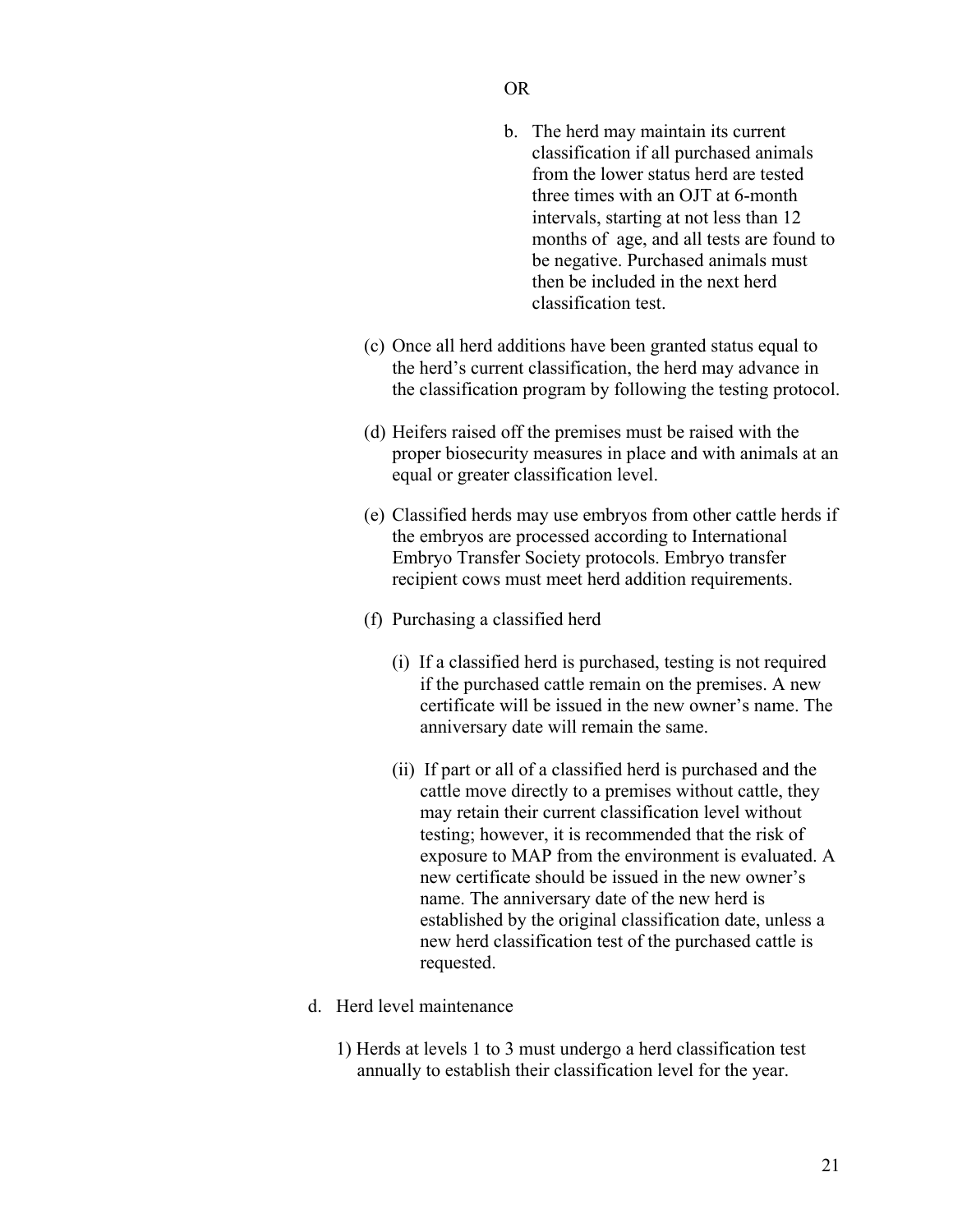## OR

- b. The herd may maintain its current classification if all purchased animals from the lower status herd are tested three times with an OJT at 6-month intervals, starting at not less than 12 months of age, and all tests are found to be negative. Purchased animals must then be included in the next herd classification test.
- (c) Once all herd additions have been granted status equal to the herd's current classification, the herd may advance in the classification program by following the testing protocol.
- (d) Heifers raised off the premises must be raised with the proper biosecurity measures in place and with animals at an equal or greater classification level.
- (e) Classified herds may use embryos from other cattle herds if the embryos are processed according to International Embryo Transfer Society protocols. Embryo transfer recipient cows must meet herd addition requirements.
- (f) Purchasing a classified herd
	- (i) If a classified herd is purchased, testing is not required if the purchased cattle remain on the premises. A new certificate will be issued in the new owner's name. The anniversary date will remain the same.
	- (ii) If part or all of a classified herd is purchased and the cattle move directly to a premises without cattle, they may retain their current classification level without testing; however, it is recommended that the risk of exposure to MAP from the environment is evaluated. A new certificate should be issued in the new owner's name. The anniversary date of the new herd is established by the original classification date, unless a new herd classification test of the purchased cattle is requested.
- d. Herd level maintenance
	- 1) Herds at levels 1 to 3 must undergo a herd classification test annually to establish their classification level for the year.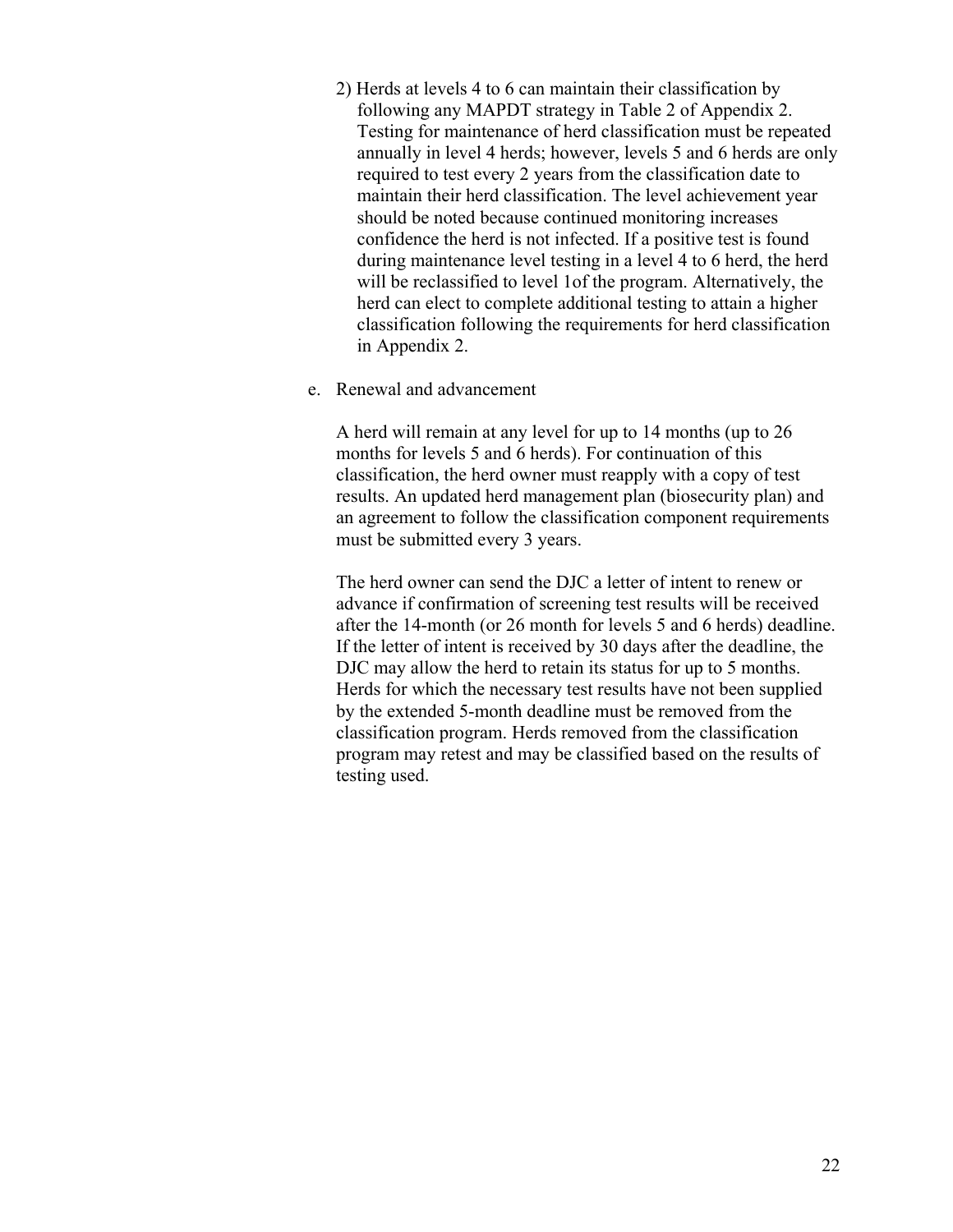- 2) Herds at levels 4 to 6 can maintain their classification by following any MAPDT strategy in Table 2 of Appendix 2. Testing for maintenance of herd classification must be repeated annually in level 4 herds; however, levels 5 and 6 herds are only required to test every 2 years from the classification date to maintain their herd classification. The level achievement year should be noted because continued monitoring increases confidence the herd is not infected. If a positive test is found during maintenance level testing in a level 4 to 6 herd, the herd will be reclassified to level 1of the program. Alternatively, the herd can elect to complete additional testing to attain a higher classification following the requirements for herd classification in Appendix 2.
- e. Renewal and advancement

A herd will remain at any level for up to 14 months (up to 26 months for levels 5 and 6 herds). For continuation of this classification, the herd owner must reapply with a copy of test results. An updated herd management plan (biosecurity plan) and an agreement to follow the classification component requirements must be submitted every 3 years.

The herd owner can send the DJC a letter of intent to renew or advance if confirmation of screening test results will be received after the 14-month (or 26 month for levels 5 and 6 herds) deadline. If the letter of intent is received by 30 days after the deadline, the DJC may allow the herd to retain its status for up to 5 months. Herds for which the necessary test results have not been supplied by the extended 5-month deadline must be removed from the classification program. Herds removed from the classification program may retest and may be classified based on the results of testing used.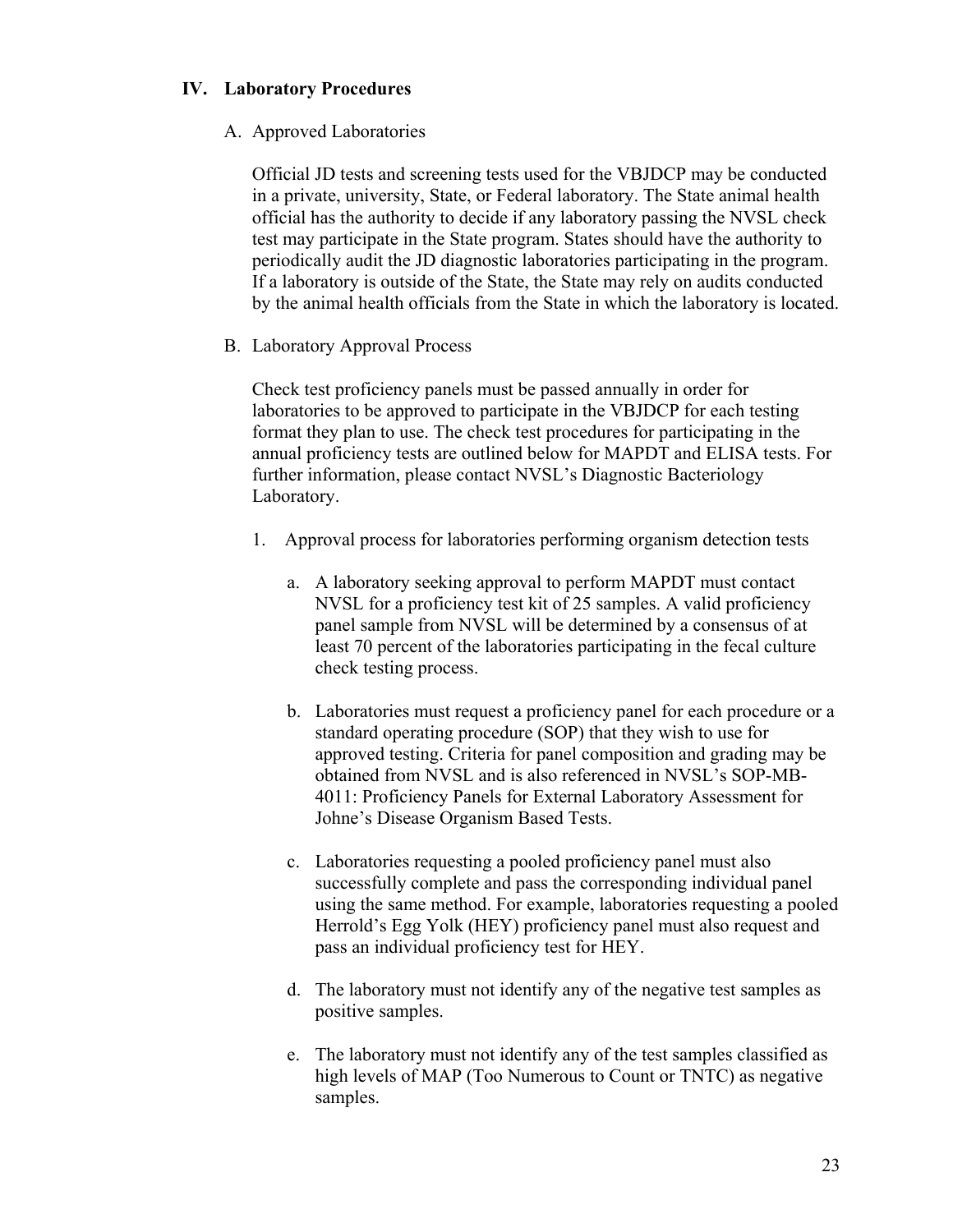# **IV. Laboratory Procedures**

## A. Approved Laboratories

Official JD tests and screening tests used for the VBJDCP may be conducted in a private, university, State, or Federal laboratory. The State animal health official has the authority to decide if any laboratory passing the NVSL check test may participate in the State program. States should have the authority to periodically audit the JD diagnostic laboratories participating in the program. If a laboratory is outside of the State, the State may rely on audits conducted by the animal health officials from the State in which the laboratory is located.

# B. Laboratory Approval Process

Check test proficiency panels must be passed annually in order for laboratories to be approved to participate in the VBJDCP for each testing format they plan to use. The check test procedures for participating in the annual proficiency tests are outlined below for MAPDT and ELISA tests. For further information, please contact NVSL's Diagnostic Bacteriology Laboratory.

- 1. Approval process for laboratories performing organism detection tests
	- a. A laboratory seeking approval to perform MAPDT must contact NVSL for a proficiency test kit of 25 samples. A valid proficiency panel sample from NVSL will be determined by a consensus of at least 70 percent of the laboratories participating in the fecal culture check testing process.
	- b. Laboratories must request a proficiency panel for each procedure or a standard operating procedure (SOP) that they wish to use for approved testing. Criteria for panel composition and grading may be obtained from NVSL and is also referenced in NVSL's SOP-MB-4011: Proficiency Panels for External Laboratory Assessment for Johne's Disease Organism Based Tests.
	- c. Laboratories requesting a pooled proficiency panel must also successfully complete and pass the corresponding individual panel using the same method. For example, laboratories requesting a pooled Herrold's Egg Yolk (HEY) proficiency panel must also request and pass an individual proficiency test for HEY.
	- d. The laboratory must not identify any of the negative test samples as positive samples.
	- e. The laboratory must not identify any of the test samples classified as high levels of MAP (Too Numerous to Count or TNTC) as negative samples.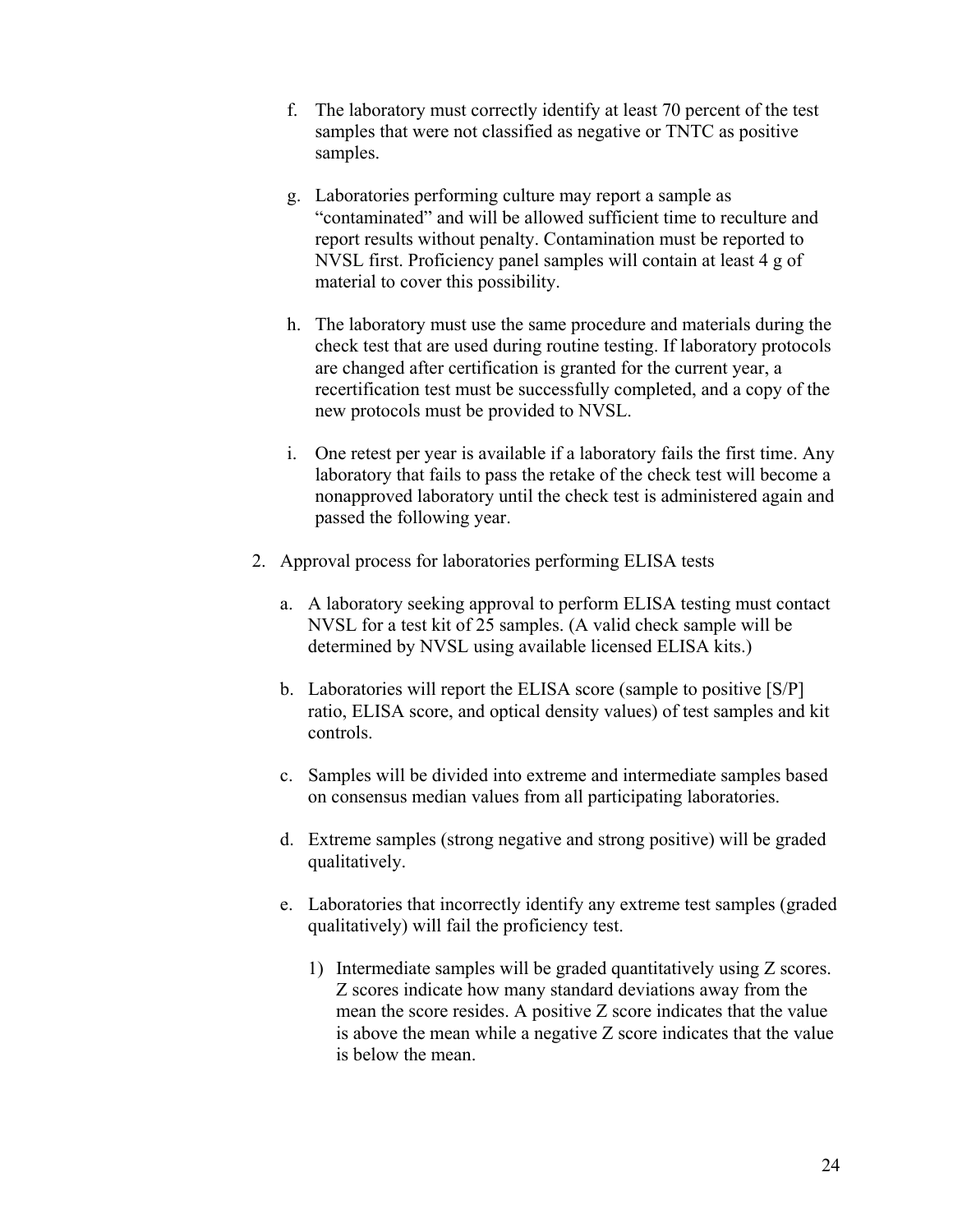- f. The laboratory must correctly identify at least 70 percent of the test samples that were not classified as negative or TNTC as positive samples.
- g. Laboratories performing culture may report a sample as "contaminated" and will be allowed sufficient time to reculture and report results without penalty. Contamination must be reported to NVSL first. Proficiency panel samples will contain at least 4 g of material to cover this possibility.
- h. The laboratory must use the same procedure and materials during the check test that are used during routine testing. If laboratory protocols are changed after certification is granted for the current year, a recertification test must be successfully completed, and a copy of the new protocols must be provided to NVSL.
- i. One retest per year is available if a laboratory fails the first time. Any laboratory that fails to pass the retake of the check test will become a nonapproved laboratory until the check test is administered again and passed the following year.
- 2. Approval process for laboratories performing ELISA tests
	- a. A laboratory seeking approval to perform ELISA testing must contact NVSL for a test kit of 25 samples. (A valid check sample will be determined by NVSL using available licensed ELISA kits.)
	- b. Laboratories will report the ELISA score (sample to positive [S/P] ratio, ELISA score, and optical density values) of test samples and kit controls.
	- c. Samples will be divided into extreme and intermediate samples based on consensus median values from all participating laboratories.
	- d. Extreme samples (strong negative and strong positive) will be graded qualitatively.
	- e. Laboratories that incorrectly identify any extreme test samples (graded qualitatively) will fail the proficiency test.
		- 1) Intermediate samples will be graded quantitatively using Z scores. Z scores indicate how many standard deviations away from the mean the score resides. A positive Z score indicates that the value is above the mean while a negative Z score indicates that the value is below the mean.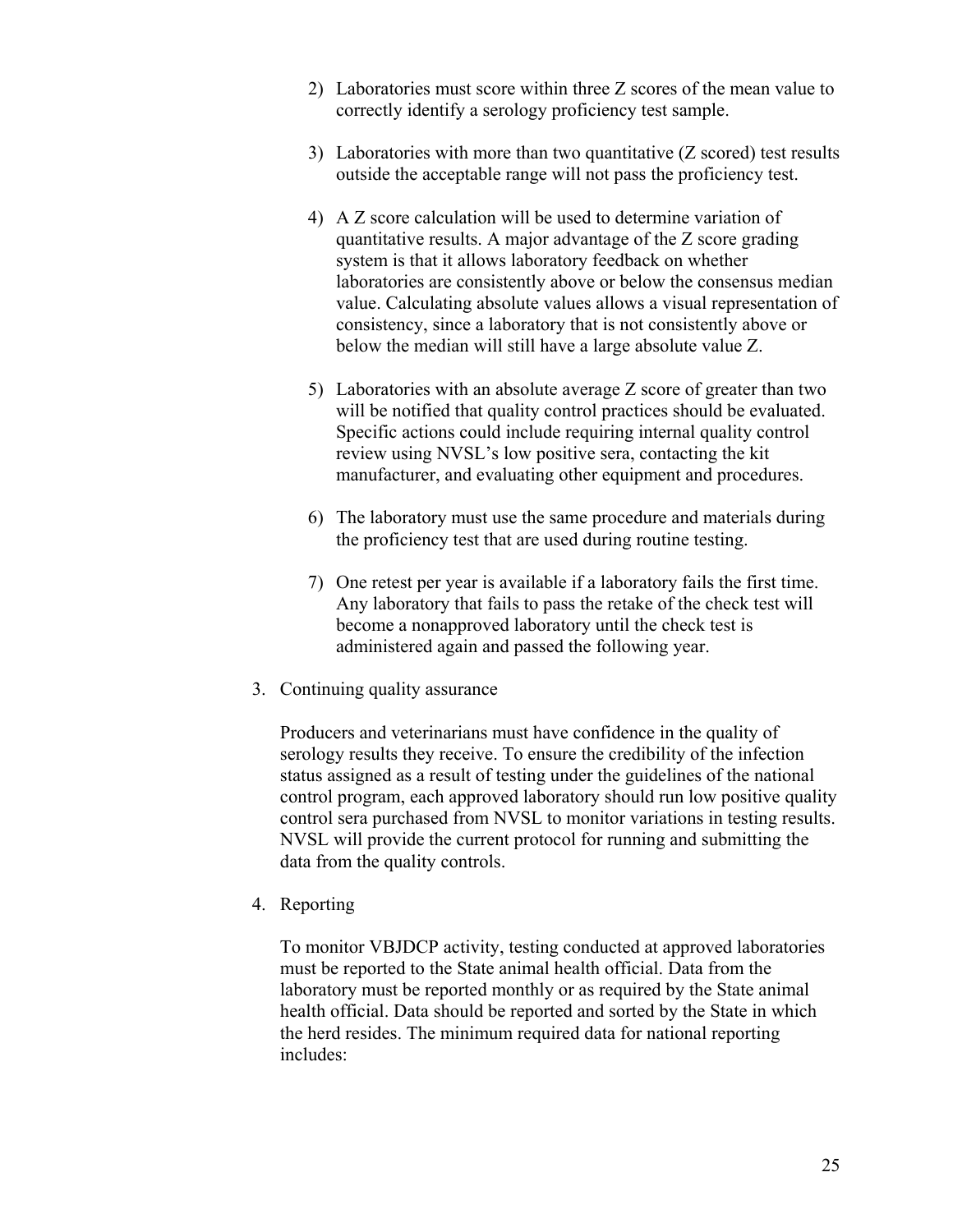- 2) Laboratories must score within three Z scores of the mean value to correctly identify a serology proficiency test sample.
- 3) Laboratories with more than two quantitative (Z scored) test results outside the acceptable range will not pass the proficiency test.
- 4) A Z score calculation will be used to determine variation of quantitative results. A major advantage of the Z score grading system is that it allows laboratory feedback on whether laboratories are consistently above or below the consensus median value. Calculating absolute values allows a visual representation of consistency, since a laboratory that is not consistently above or below the median will still have a large absolute value Z.
- 5) Laboratories with an absolute average Z score of greater than two will be notified that quality control practices should be evaluated. Specific actions could include requiring internal quality control review using NVSL's low positive sera, contacting the kit manufacturer, and evaluating other equipment and procedures.
- 6) The laboratory must use the same procedure and materials during the proficiency test that are used during routine testing.
- 7) One retest per year is available if a laboratory fails the first time. Any laboratory that fails to pass the retake of the check test will become a nonapproved laboratory until the check test is administered again and passed the following year.
- 3. Continuing quality assurance

Producers and veterinarians must have confidence in the quality of serology results they receive. To ensure the credibility of the infection status assigned as a result of testing under the guidelines of the national control program, each approved laboratory should run low positive quality control sera purchased from NVSL to monitor variations in testing results. NVSL will provide the current protocol for running and submitting the data from the quality controls.

4. Reporting

 To monitor VBJDCP activity, testing conducted at approved laboratories must be reported to the State animal health official. Data from the laboratory must be reported monthly or as required by the State animal health official. Data should be reported and sorted by the State in which the herd resides. The minimum required data for national reporting includes: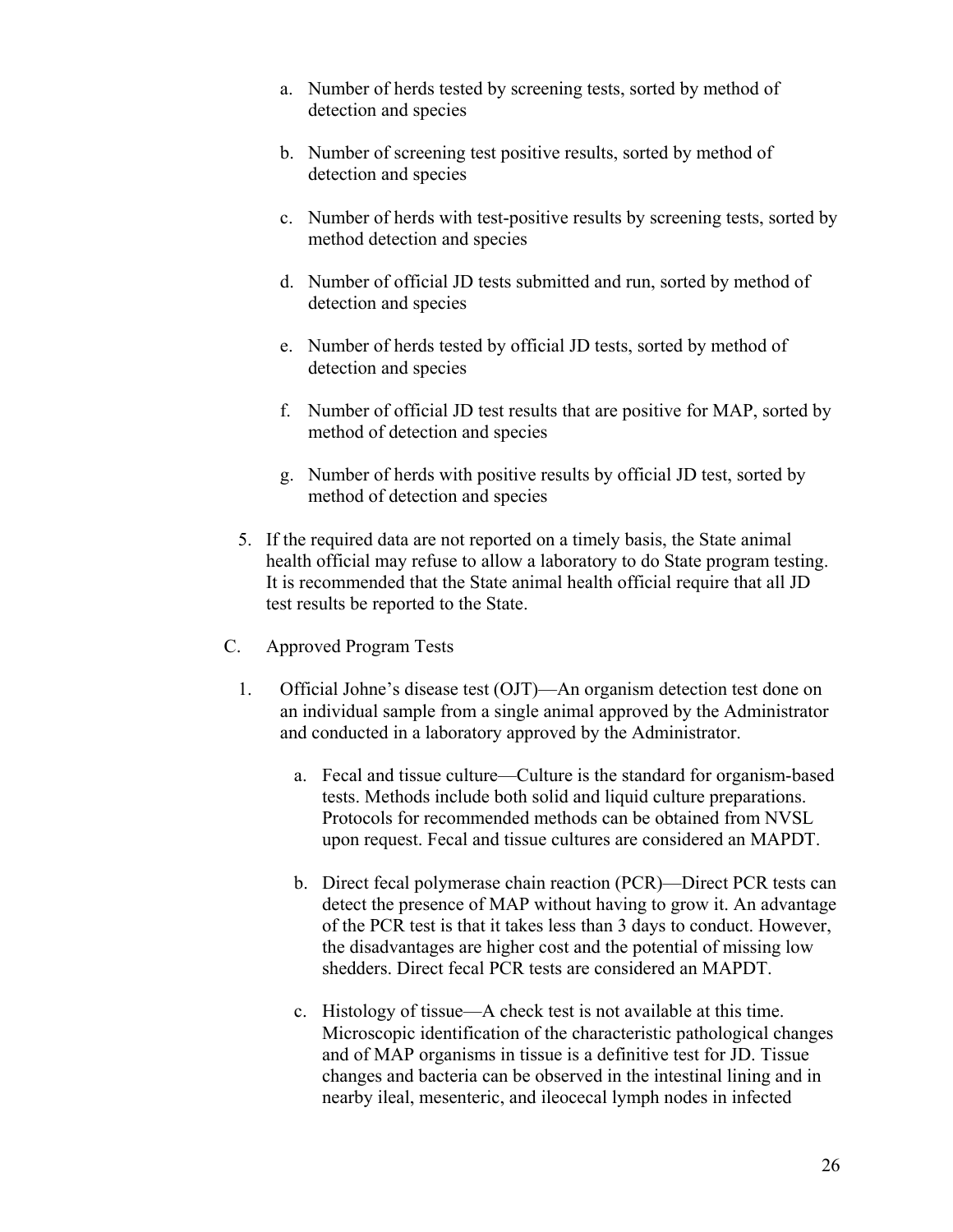- a. Number of herds tested by screening tests, sorted by method of detection and species
- b. Number of screening test positive results, sorted by method of detection and species
- c. Number of herds with test-positive results by screening tests, sorted by method detection and species
- d. Number of official JD tests submitted and run, sorted by method of detection and species
- e. Number of herds tested by official JD tests, sorted by method of detection and species
- f. Number of official JD test results that are positive for MAP, sorted by method of detection and species
- g. Number of herds with positive results by official JD test, sorted by method of detection and species
- 5. If the required data are not reported on a timely basis, the State animal health official may refuse to allow a laboratory to do State program testing. It is recommended that the State animal health official require that all JD test results be reported to the State.
- C. Approved Program Tests
	- 1. Official Johne's disease test (OJT)—An organism detection test done on an individual sample from a single animal approved by the Administrator and conducted in a laboratory approved by the Administrator.
		- a. Fecal and tissue culture—Culture is the standard for organism-based tests. Methods include both solid and liquid culture preparations. Protocols for recommended methods can be obtained from NVSL upon request. Fecal and tissue cultures are considered an MAPDT.
		- b. Direct fecal polymerase chain reaction (PCR)—Direct PCR tests can detect the presence of MAP without having to grow it. An advantage of the PCR test is that it takes less than 3 days to conduct. However, the disadvantages are higher cost and the potential of missing low shedders. Direct fecal PCR tests are considered an MAPDT.
		- c. Histology of tissue—A check test is not available at this time. Microscopic identification of the characteristic pathological changes and of MAP organisms in tissue is a definitive test for JD. Tissue changes and bacteria can be observed in the intestinal lining and in nearby ileal, mesenteric, and ileocecal lymph nodes in infected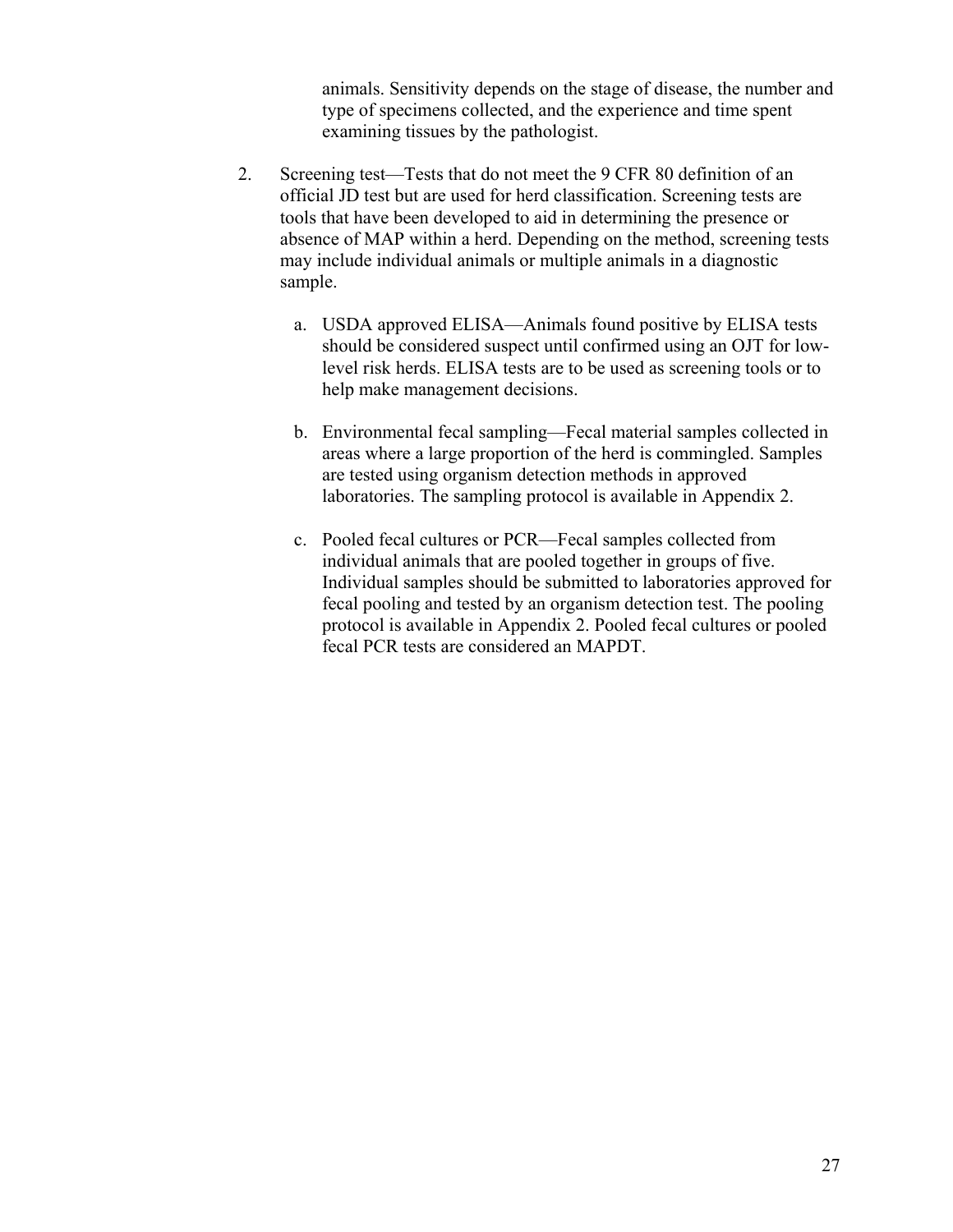animals. Sensitivity depends on the stage of disease, the number and type of specimens collected, and the experience and time spent examining tissues by the pathologist.

- 2. Screening test—Tests that do not meet the 9 CFR 80 definition of an official JD test but are used for herd classification. Screening tests are tools that have been developed to aid in determining the presence or absence of MAP within a herd. Depending on the method, screening tests may include individual animals or multiple animals in a diagnostic sample.
	- a. USDA approved ELISA—Animals found positive by ELISA tests should be considered suspect until confirmed using an OJT for lowlevel risk herds. ELISA tests are to be used as screening tools or to help make management decisions.
	- b. Environmental fecal sampling—Fecal material samples collected in areas where a large proportion of the herd is commingled. Samples are tested using organism detection methods in approved laboratories. The sampling protocol is available in Appendix 2.
	- c. Pooled fecal cultures or PCR—Fecal samples collected from individual animals that are pooled together in groups of five. Individual samples should be submitted to laboratories approved for fecal pooling and tested by an organism detection test. The pooling protocol is available in Appendix 2. Pooled fecal cultures or pooled fecal PCR tests are considered an MAPDT.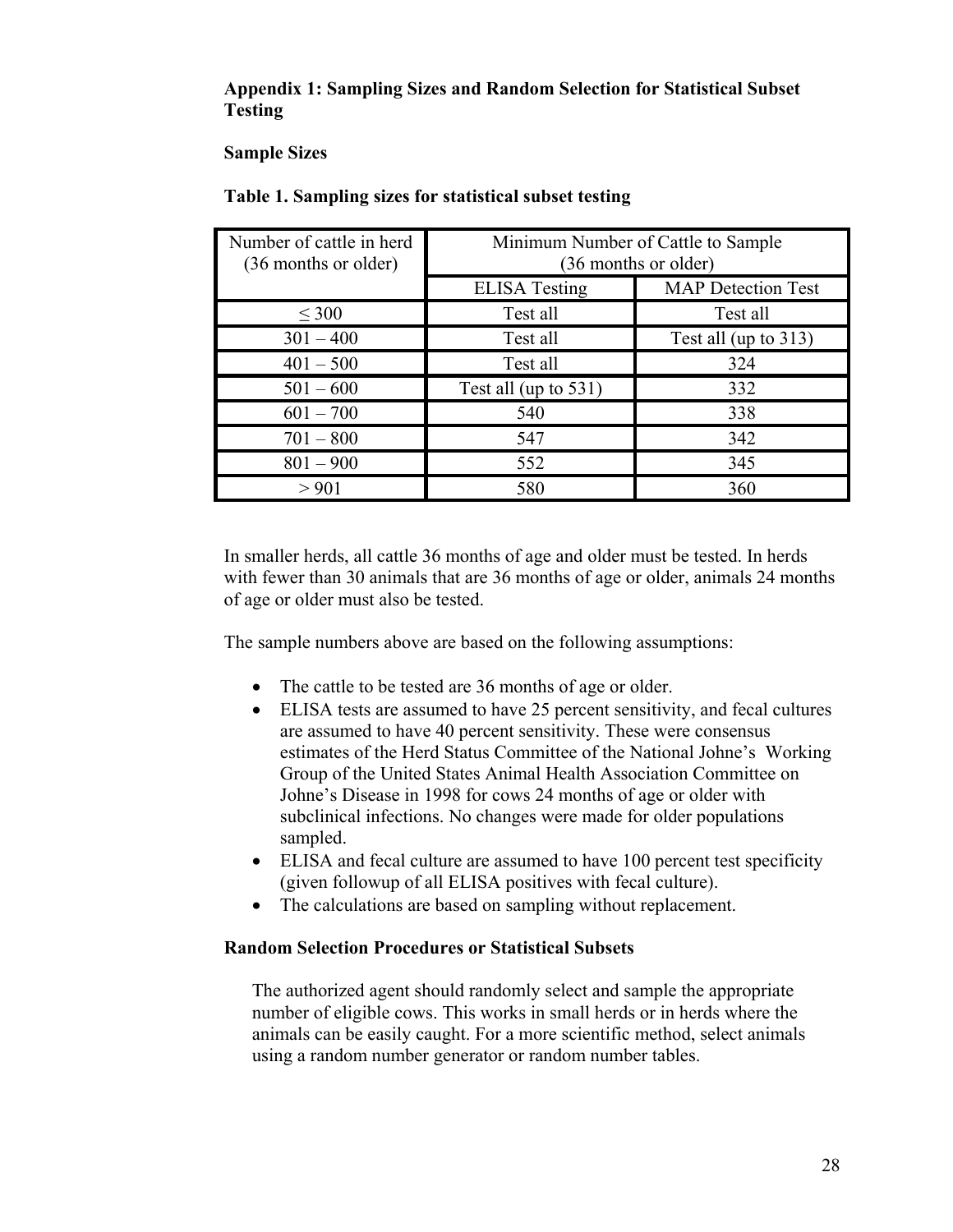# **Appendix 1: Sampling Sizes and Random Selection for Statistical Subset Testing**

# **Sample Sizes**

| Number of cattle in herd<br>(36 months or older) | Minimum Number of Cattle to Sample<br>(36 months or older) |                      |  |
|--------------------------------------------------|------------------------------------------------------------|----------------------|--|
|                                                  | <b>MAP</b> Detection Test<br><b>ELISA</b> Testing          |                      |  |
| $\leq 300$                                       | Test all                                                   | Test all             |  |
| $301 - 400$                                      | Test all                                                   | Test all (up to 313) |  |
| $401 - 500$                                      | Test all                                                   | 324                  |  |
| $501 - 600$                                      | Test all (up to $531$ )                                    | 332                  |  |
| $601 - 700$                                      | 540                                                        | 338                  |  |
| $701 - 800$                                      | 547                                                        | 342                  |  |
| $801 - 900$                                      | 552                                                        | 345                  |  |
| > 901                                            | 580                                                        | 360                  |  |

# **Table 1. Sampling sizes for statistical subset testing**

In smaller herds, all cattle 36 months of age and older must be tested. In herds with fewer than 30 animals that are 36 months of age or older, animals 24 months of age or older must also be tested.

The sample numbers above are based on the following assumptions:

- The cattle to be tested are 36 months of age or older.
- ELISA tests are assumed to have 25 percent sensitivity, and fecal cultures are assumed to have 40 percent sensitivity. These were consensus estimates of the Herd Status Committee of the National Johne's Working Group of the United States Animal Health Association Committee on Johne's Disease in 1998 for cows 24 months of age or older with subclinical infections. No changes were made for older populations sampled.
- ELISA and fecal culture are assumed to have 100 percent test specificity (given followup of all ELISA positives with fecal culture).
- The calculations are based on sampling without replacement.

# **Random Selection Procedures or Statistical Subsets**

The authorized agent should randomly select and sample the appropriate number of eligible cows. This works in small herds or in herds where the animals can be easily caught. For a more scientific method, select animals using a random number generator or random number tables.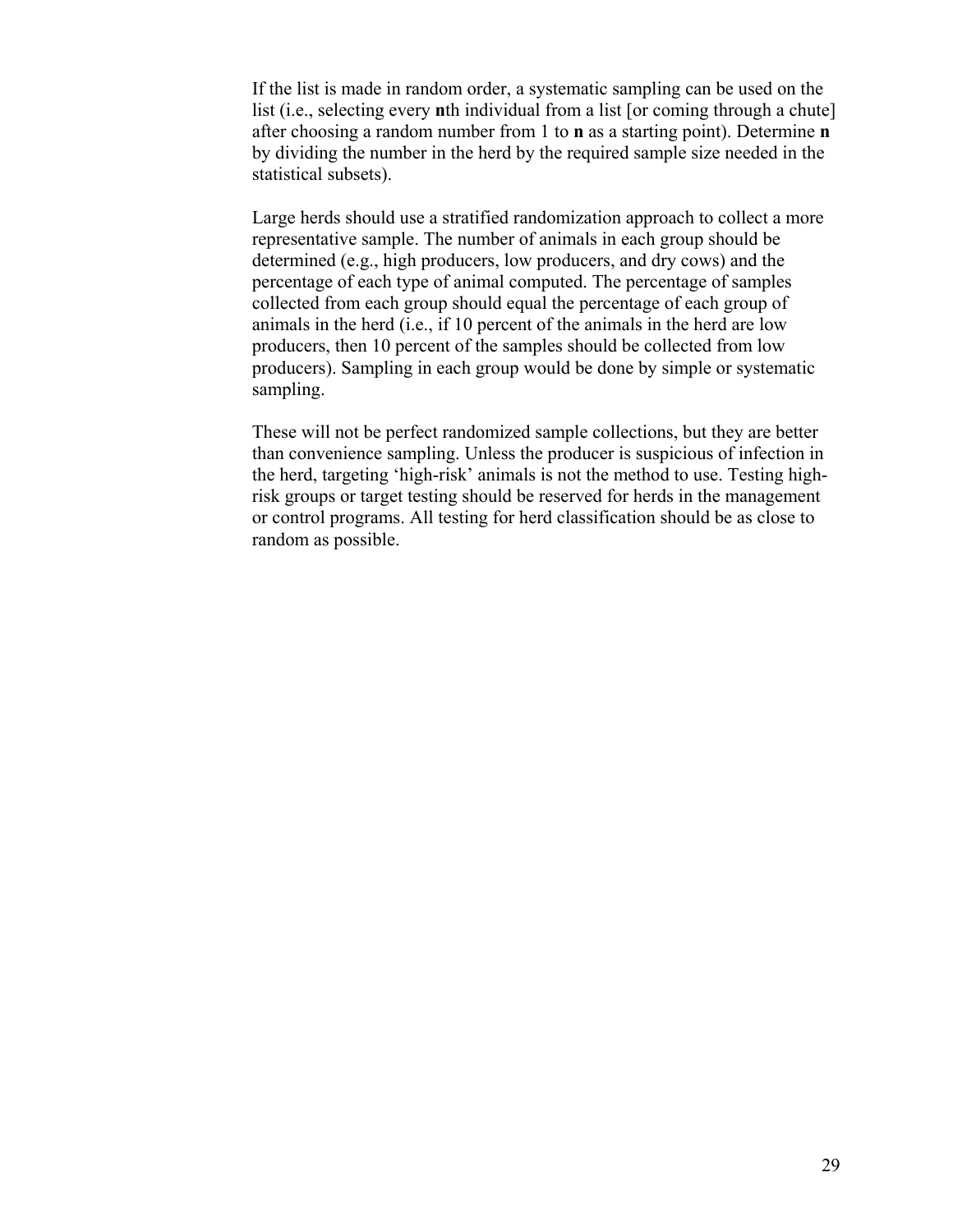If the list is made in random order, a systematic sampling can be used on the list (i.e., selecting every **n**th individual from a list [or coming through a chute] after choosing a random number from 1 to **n** as a starting point). Determine **n** by dividing the number in the herd by the required sample size needed in the statistical subsets).

Large herds should use a stratified randomization approach to collect a more representative sample. The number of animals in each group should be determined (e.g., high producers, low producers, and dry cows) and the percentage of each type of animal computed. The percentage of samples collected from each group should equal the percentage of each group of animals in the herd (i.e., if 10 percent of the animals in the herd are low producers, then 10 percent of the samples should be collected from low producers). Sampling in each group would be done by simple or systematic sampling.

These will not be perfect randomized sample collections, but they are better than convenience sampling. Unless the producer is suspicious of infection in the herd, targeting 'high-risk' animals is not the method to use. Testing highrisk groups or target testing should be reserved for herds in the management or control programs. All testing for herd classification should be as close to random as possible.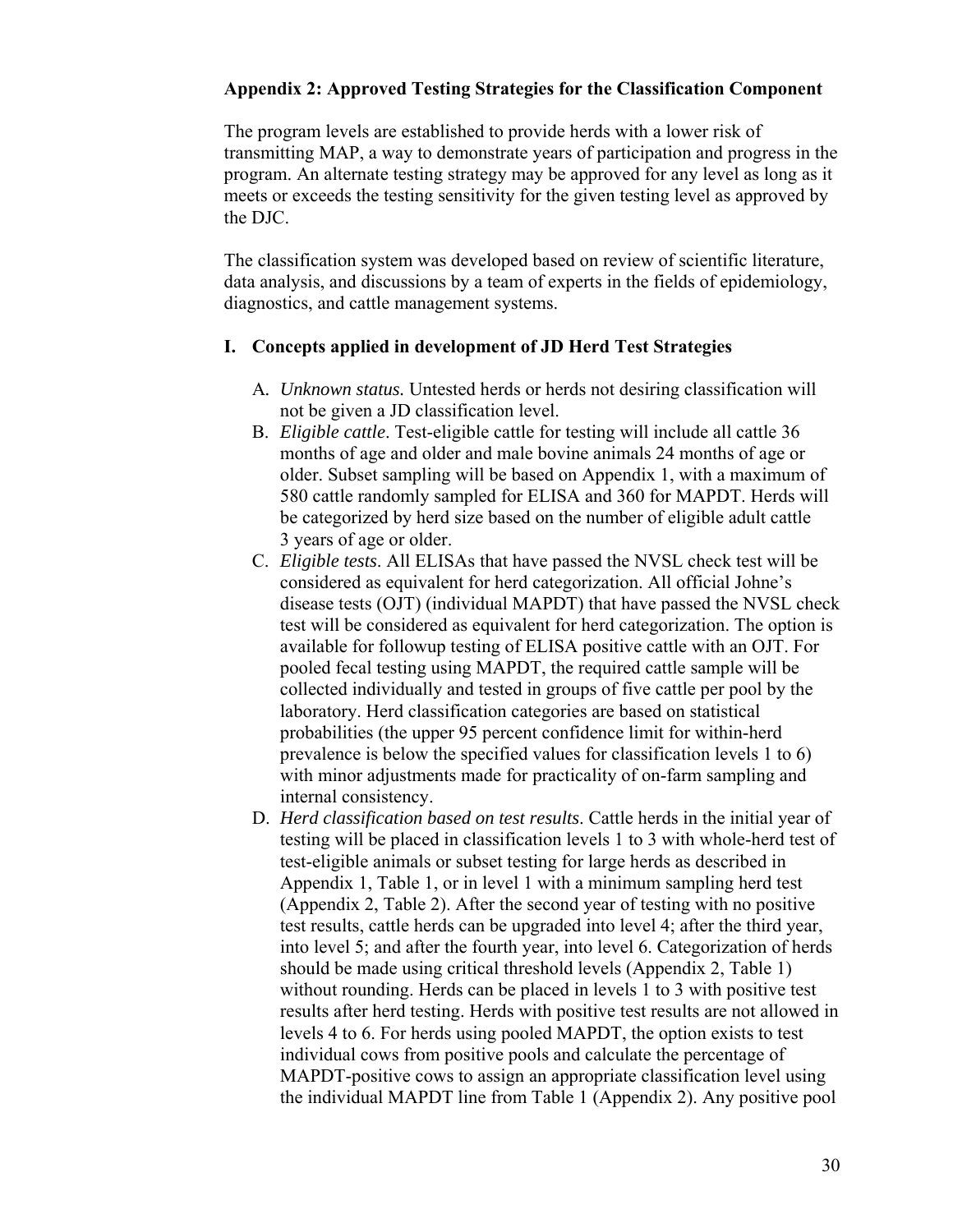# **Appendix 2: Approved Testing Strategies for the Classification Component**

The program levels are established to provide herds with a lower risk of transmitting MAP, a way to demonstrate years of participation and progress in the program. An alternate testing strategy may be approved for any level as long as it meets or exceeds the testing sensitivity for the given testing level as approved by the DJC.

The classification system was developed based on review of scientific literature, data analysis, and discussions by a team of experts in the fields of epidemiology, diagnostics, and cattle management systems.

## **I. Concepts applied in development of JD Herd Test Strategies**

- A*. Unknown status.* Untested herds or herds not desiring classification will not be given a JD classification level.
- B. *Eligible cattle*. Test-eligible cattle for testing will include all cattle 36 months of age and older and male bovine animals 24 months of age or older. Subset sampling will be based on Appendix 1, with a maximum of 580 cattle randomly sampled for ELISA and 360 for MAPDT. Herds will be categorized by herd size based on the number of eligible adult cattle 3 years of age or older.
- C. *Eligible tests*. All ELISAs that have passed the NVSL check test will be considered as equivalent for herd categorization. All official Johne's disease tests (OJT) (individual MAPDT) that have passed the NVSL check test will be considered as equivalent for herd categorization. The option is available for followup testing of ELISA positive cattle with an OJT. For pooled fecal testing using MAPDT, the required cattle sample will be collected individually and tested in groups of five cattle per pool by the laboratory. Herd classification categories are based on statistical probabilities (the upper 95 percent confidence limit for within-herd prevalence is below the specified values for classification levels 1 to 6) with minor adjustments made for practicality of on-farm sampling and internal consistency.
- D. *Herd classification based on test results*. Cattle herds in the initial year of testing will be placed in classification levels 1 to 3 with whole-herd test of test-eligible animals or subset testing for large herds as described in Appendix 1, Table 1, or in level 1 with a minimum sampling herd test (Appendix 2, Table 2). After the second year of testing with no positive test results, cattle herds can be upgraded into level 4; after the third year, into level 5; and after the fourth year, into level 6. Categorization of herds should be made using critical threshold levels (Appendix 2, Table 1) without rounding. Herds can be placed in levels 1 to 3 with positive test results after herd testing. Herds with positive test results are not allowed in levels 4 to 6. For herds using pooled MAPDT, the option exists to test individual cows from positive pools and calculate the percentage of MAPDT-positive cows to assign an appropriate classification level using the individual MAPDT line from Table 1 (Appendix 2). Any positive pool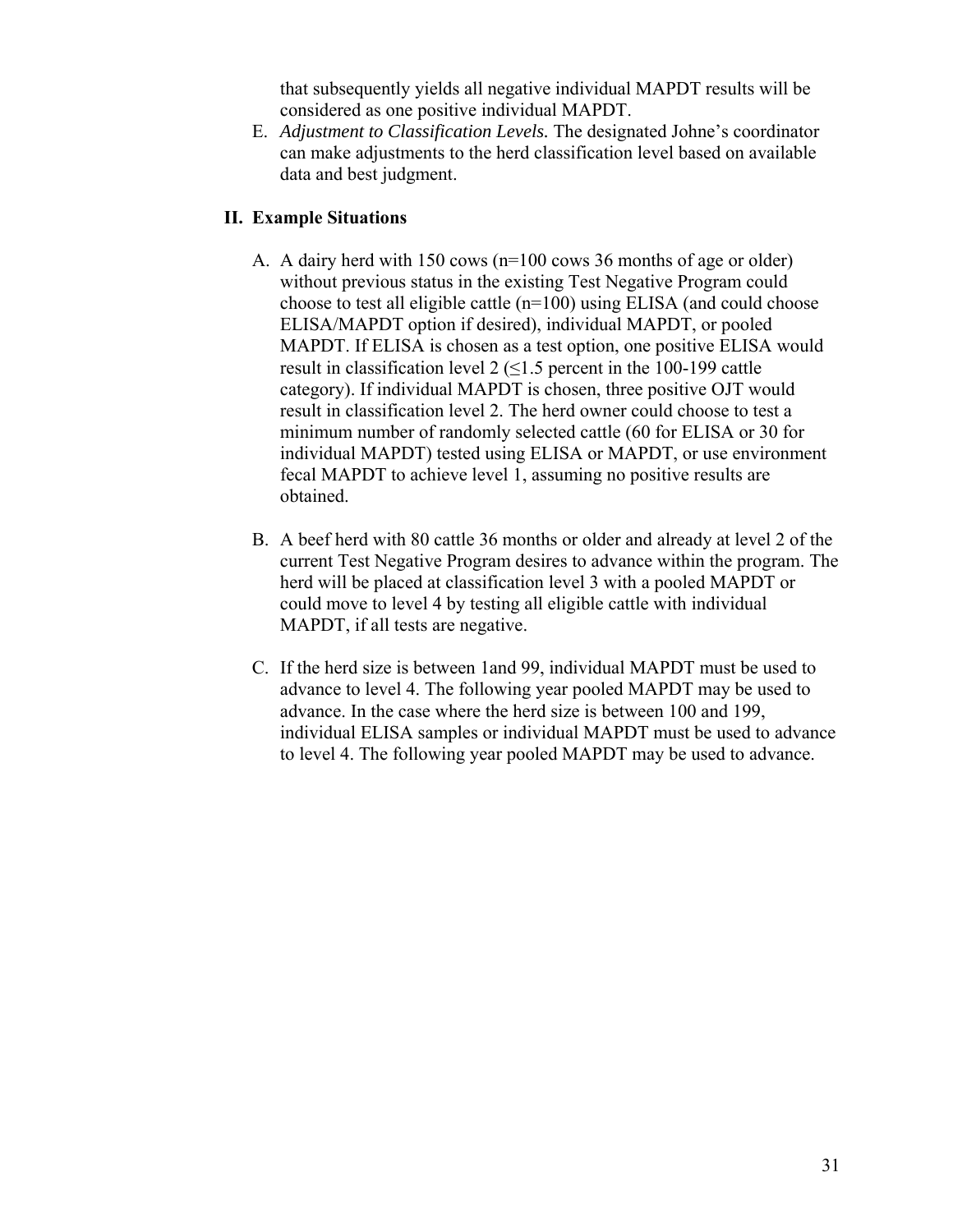that subsequently yields all negative individual MAPDT results will be considered as one positive individual MAPDT.

E. *Adjustment to Classification Levels.* The designated Johne's coordinator can make adjustments to the herd classification level based on available data and best judgment.

# **II. Example Situations**

- A. A dairy herd with 150 cows (n=100 cows 36 months of age or older) without previous status in the existing Test Negative Program could choose to test all eligible cattle (n=100) using ELISA (and could choose ELISA/MAPDT option if desired), individual MAPDT, or pooled MAPDT. If ELISA is chosen as a test option, one positive ELISA would result in classification level 2  $(\leq 1.5$  percent in the 100-199 cattle category). If individual MAPDT is chosen, three positive OJT would result in classification level 2. The herd owner could choose to test a minimum number of randomly selected cattle (60 for ELISA or 30 for individual MAPDT) tested using ELISA or MAPDT, or use environment fecal MAPDT to achieve level 1, assuming no positive results are obtained.
- B. A beef herd with 80 cattle 36 months or older and already at level 2 of the current Test Negative Program desires to advance within the program. The herd will be placed at classification level 3 with a pooled MAPDT or could move to level 4 by testing all eligible cattle with individual MAPDT, if all tests are negative.
- C. If the herd size is between 1and 99, individual MAPDT must be used to advance to level 4. The following year pooled MAPDT may be used to advance. In the case where the herd size is between 100 and 199, individual ELISA samples or individual MAPDT must be used to advance to level 4. The following year pooled MAPDT may be used to advance.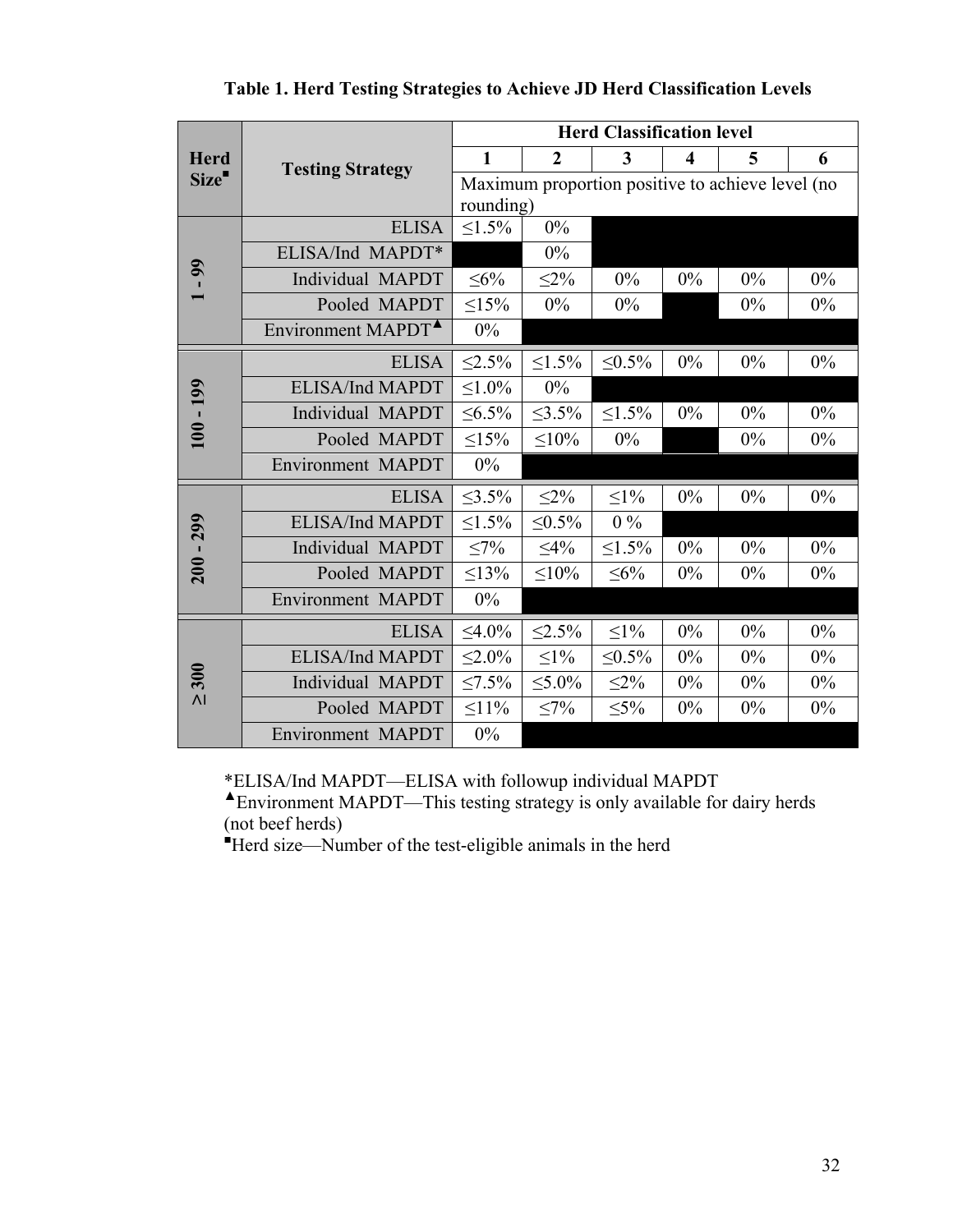|                             | <b>Testing Strategy</b>        | <b>Herd Classification level</b>                 |                |              |                  |       |       |
|-----------------------------|--------------------------------|--------------------------------------------------|----------------|--------------|------------------|-------|-------|
| <b>Herd</b><br>Size"        |                                | $\mathbf{1}$                                     | $\overline{2}$ | 3            | $\boldsymbol{4}$ | 5     | 6     |
|                             |                                | Maximum proportion positive to achieve level (no |                |              |                  |       |       |
|                             |                                | rounding)                                        |                |              |                  |       |       |
| $\mathbf{\mathfrak{g}}$     | <b>ELISA</b>                   | $\leq 1.5\%$                                     | $0\%$          |              |                  |       |       |
|                             | ELISA/Ind MAPDT*               |                                                  | $0\%$          |              |                  |       |       |
|                             | Individual MAPDT               | $\leq 6\%$                                       | $\leq$ 2%      | 0%           | $0\%$            | $0\%$ | $0\%$ |
|                             | Pooled MAPDT                   | $\leq$ 15%                                       | $0\%$          | 0%           |                  | 0%    | $0\%$ |
|                             | Environment MAPDT <sup>4</sup> | $0\%$                                            |                |              |                  |       |       |
| $100 - 199$                 | <b>ELISA</b>                   | $< 2.5\%$                                        | $1.5\%$        | $< 0.5\%$    | $0\%$            | 0%    | 0%    |
|                             | ELISA/Ind MAPDT                | $1.0\%$                                          | $0\%$          |              |                  |       |       |
|                             | Individual MAPDT               | $\leq 6.5\%$                                     | $\leq 3.5\%$   | $\leq 1.5\%$ | 0%               | $0\%$ | 0%    |
|                             | Pooled MAPDT                   | $15\%$                                           | $10\%$         | $0\%$        |                  | 0%    | $0\%$ |
|                             | Environment MAPDT              | 0%                                               |                |              |                  |       |       |
| 299<br>$200 - 7$            | <b>ELISA</b>                   | $\leq$ 3.5%                                      | $\leq$ 2%      | $\leq$ 1%    | 0%               | 0%    | 0%    |
|                             | <b>ELISA/Ind MAPDT</b>         | $1.5\%$                                          | $< 0.5\%$      | $0\%$        |                  |       |       |
|                             | Individual MAPDT               | $\leq 7\%$                                       | $\leq 4\%$     | $\leq 1.5\%$ | 0%               | $0\%$ | 0%    |
|                             | Pooled MAPDT                   | $\leq$ 13%                                       | $\leq 10\%$    | $\leq 6\%$   | 0%               | $0\%$ | $0\%$ |
|                             | <b>Environment MAPDT</b>       | $0\%$                                            |                |              |                  |       |       |
| 300<br>$\overline{\Lambda}$ | <b>ELISA</b>                   | $\leq 4.0\%$                                     | $\leq 2.5\%$   | $\leq1\%$    | $0\%$            | $0\%$ | 0%    |
|                             | <b>ELISA/Ind MAPDT</b>         | $< 2.0\%$                                        | $\leq1\%$      | $< 0.5\%$    | $0\%$            | $0\%$ | $0\%$ |
|                             | Individual MAPDT               | $\leq 7.5\%$                                     | $\leq 5.0\%$   | $\leq$ 2%    | $0\%$            | $0\%$ | $0\%$ |
|                             | Pooled MAPDT                   | $\leq 11\%$                                      | $\leq 7\%$     | $\leq 5\%$   | $0\%$            | $0\%$ | $0\%$ |
|                             | <b>Environment MAPDT</b>       | $0\%$                                            |                |              |                  |       |       |

**Table 1. Herd Testing Strategies to Achieve JD Herd Classification Levels** 

\*ELISA/Ind MAPDT—ELISA with followup individual MAPDT

**▲**Environment MAPDT—This testing strategy is only available for dairy herds (not beef herds)

Herd size—Number of the test-eligible animals in the herd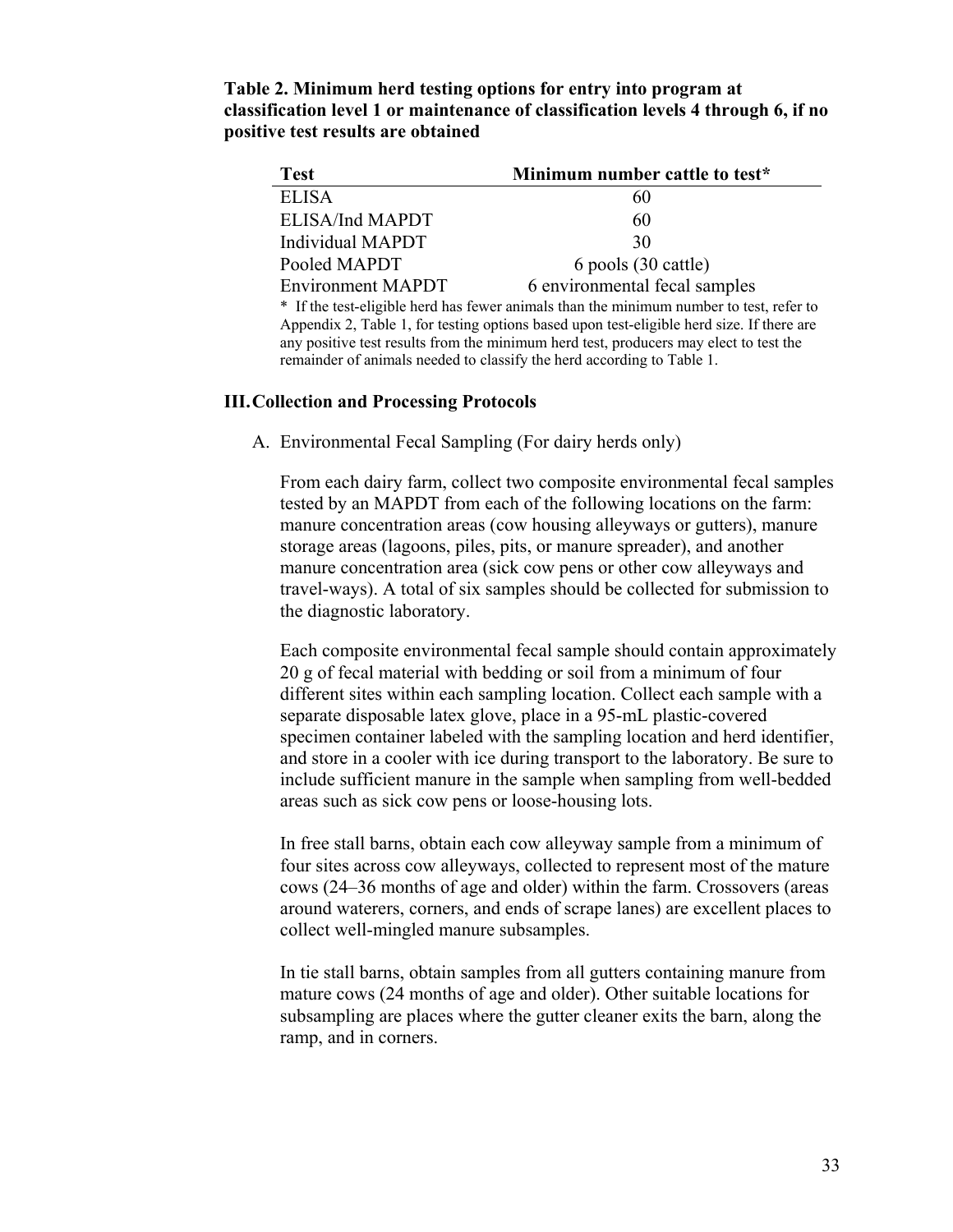| Table 2. Minimum herd testing options for entry into program at                   |
|-----------------------------------------------------------------------------------|
| classification level 1 or maintenance of classification levels 4 through 6, if no |
| positive test results are obtained                                                |

| <b>Test</b>                                                                               | Minimum number cattle to test* |  |  |  |
|-------------------------------------------------------------------------------------------|--------------------------------|--|--|--|
| <b>ELISA</b>                                                                              | 60                             |  |  |  |
| ELISA/Ind MAPDT                                                                           | 60                             |  |  |  |
| Individual MAPDT                                                                          | 30                             |  |  |  |
| Pooled MAPDT                                                                              | 6 pools (30 cattle)            |  |  |  |
| <b>Environment MAPDT</b>                                                                  | 6 environmental fecal samples  |  |  |  |
| * If the test-eligible herd has fewer animals than the minimum number to test, refer to   |                                |  |  |  |
| Appendix 2, Table 1, for testing options based upon test-eligible herd size. If there are |                                |  |  |  |
| any positive test results from the minimum herd test, producers may elect to test the     |                                |  |  |  |
| remainder of animals needed to classify the herd according to Table 1.                    |                                |  |  |  |

#### **III. Collection and Processing Protocols**

A. Environmental Fecal Sampling (For dairy herds only)

From each dairy farm, collect two composite environmental fecal samples tested by an MAPDT from each of the following locations on the farm: manure concentration areas (cow housing alleyways or gutters), manure storage areas (lagoons, piles, pits, or manure spreader), and another manure concentration area (sick cow pens or other cow alleyways and travel-ways). A total of six samples should be collected for submission to the diagnostic laboratory.

Each composite environmental fecal sample should contain approximately 20 g of fecal material with bedding or soil from a minimum of four different sites within each sampling location. Collect each sample with a separate disposable latex glove, place in a 95-mL plastic-covered specimen container labeled with the sampling location and herd identifier, and store in a cooler with ice during transport to the laboratory. Be sure to include sufficient manure in the sample when sampling from well-bedded areas such as sick cow pens or loose-housing lots.

In free stall barns, obtain each cow alleyway sample from a minimum of four sites across cow alleyways, collected to represent most of the mature cows (24–36 months of age and older) within the farm. Crossovers (areas around waterers, corners, and ends of scrape lanes) are excellent places to collect well-mingled manure subsamples.

In tie stall barns, obtain samples from all gutters containing manure from mature cows (24 months of age and older). Other suitable locations for subsampling are places where the gutter cleaner exits the barn, along the ramp, and in corners.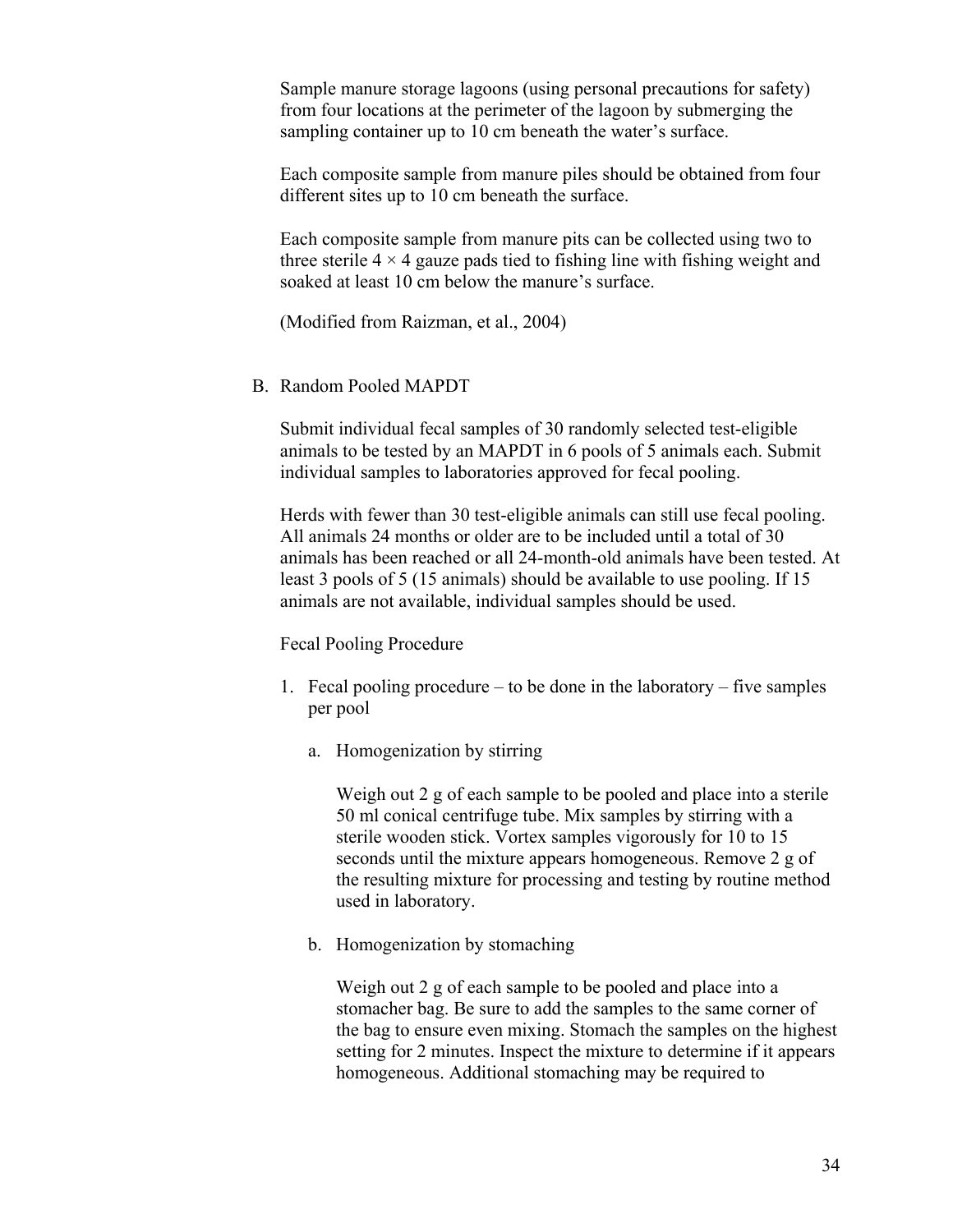Sample manure storage lagoons (using personal precautions for safety) from four locations at the perimeter of the lagoon by submerging the sampling container up to 10 cm beneath the water's surface.

Each composite sample from manure piles should be obtained from four different sites up to 10 cm beneath the surface.

Each composite sample from manure pits can be collected using two to three sterile  $4 \times 4$  gauze pads tied to fishing line with fishing weight and soaked at least 10 cm below the manure's surface.

(Modified from Raizman, et al., 2004)

## B. Random Pooled MAPDT

Submit individual fecal samples of 30 randomly selected test-eligible animals to be tested by an MAPDT in 6 pools of 5 animals each. Submit individual samples to laboratories approved for fecal pooling.

Herds with fewer than 30 test-eligible animals can still use fecal pooling. All animals 24 months or older are to be included until a total of 30 animals has been reached or all 24-month-old animals have been tested. At least 3 pools of 5 (15 animals) should be available to use pooling. If 15 animals are not available, individual samples should be used.

Fecal Pooling Procedure

- 1. Fecal pooling procedure to be done in the laboratory five samples per pool
	- a. Homogenization by stirring

Weigh out 2 g of each sample to be pooled and place into a sterile 50 ml conical centrifuge tube. Mix samples by stirring with a sterile wooden stick. Vortex samples vigorously for 10 to 15 seconds until the mixture appears homogeneous. Remove 2 g of the resulting mixture for processing and testing by routine method used in laboratory.

b. Homogenization by stomaching

Weigh out 2 g of each sample to be pooled and place into a stomacher bag. Be sure to add the samples to the same corner of the bag to ensure even mixing. Stomach the samples on the highest setting for 2 minutes. Inspect the mixture to determine if it appears homogeneous. Additional stomaching may be required to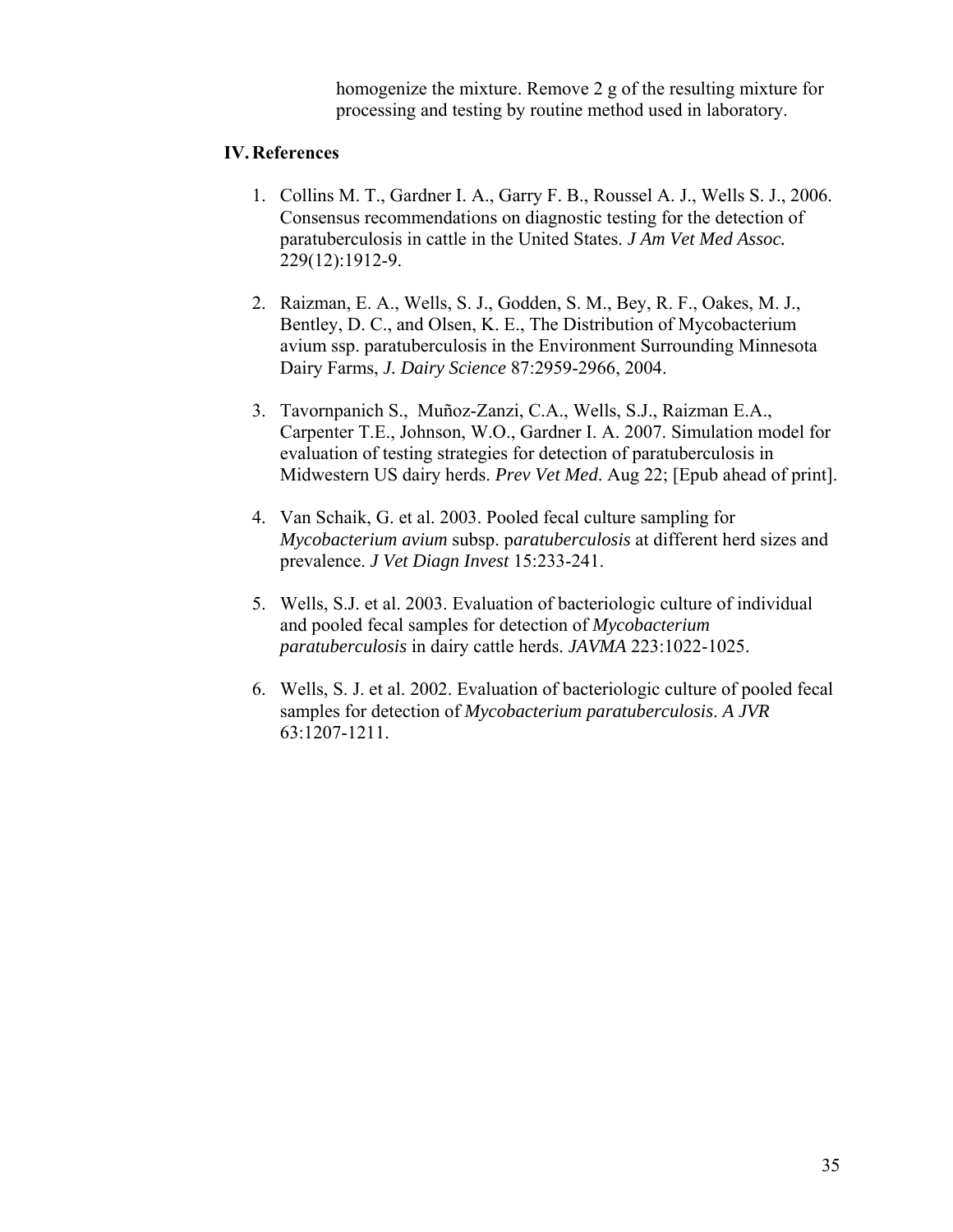homogenize the mixture. Remove 2 g of the resulting mixture for processing and testing by routine method used in laboratory.

# **IV. References**

- 1. Collins M. T., Gardner I. A., Garry F. B., Roussel A. J., Wells S. J., 2006. Consensus recommendations on diagnostic testing for the detection of paratuberculosis in cattle in the United States. *J Am Vet Med Assoc.* 229(12):1912-9.
- 2. Raizman, E. A., Wells, S. J., Godden, S. M., Bey, R. F., Oakes, M. J., Bentley, D. C., and Olsen, K. E., The Distribution of Mycobacterium avium ssp. paratuberculosis in the Environment Surrounding Minnesota Dairy Farms, *J. Dairy Science* 87:2959-2966, 2004.
- 3. Tavornpanich S., Muñoz-Zanzi, C.A., Wells, S.J., Raizman E.A., Carpenter T.E., Johnson, W.O., Gardner I. A. 2007. Simulation model for evaluation of testing strategies for detection of paratuberculosis in Midwestern US dairy herds. *Prev Vet Med*. Aug 22; [Epub ahead of print].
- 4. Van Schaik, G. et al. 2003. Pooled fecal culture sampling for *Mycobacterium avium* subsp. p*aratuberculosis* at different herd sizes and prevalence. *J Vet Diagn Invest* 15:233-241.
- 5. Wells, S.J. et al. 2003. Evaluation of bacteriologic culture of individual and pooled fecal samples for detection of *Mycobacterium paratuberculosis* in dairy cattle herds. *JAVMA* 223:1022-1025.
- 6. Wells, S. J. et al. 2002. Evaluation of bacteriologic culture of pooled fecal samples for detection of *Mycobacterium paratuberculosis*. *A JVR* 63:1207-1211.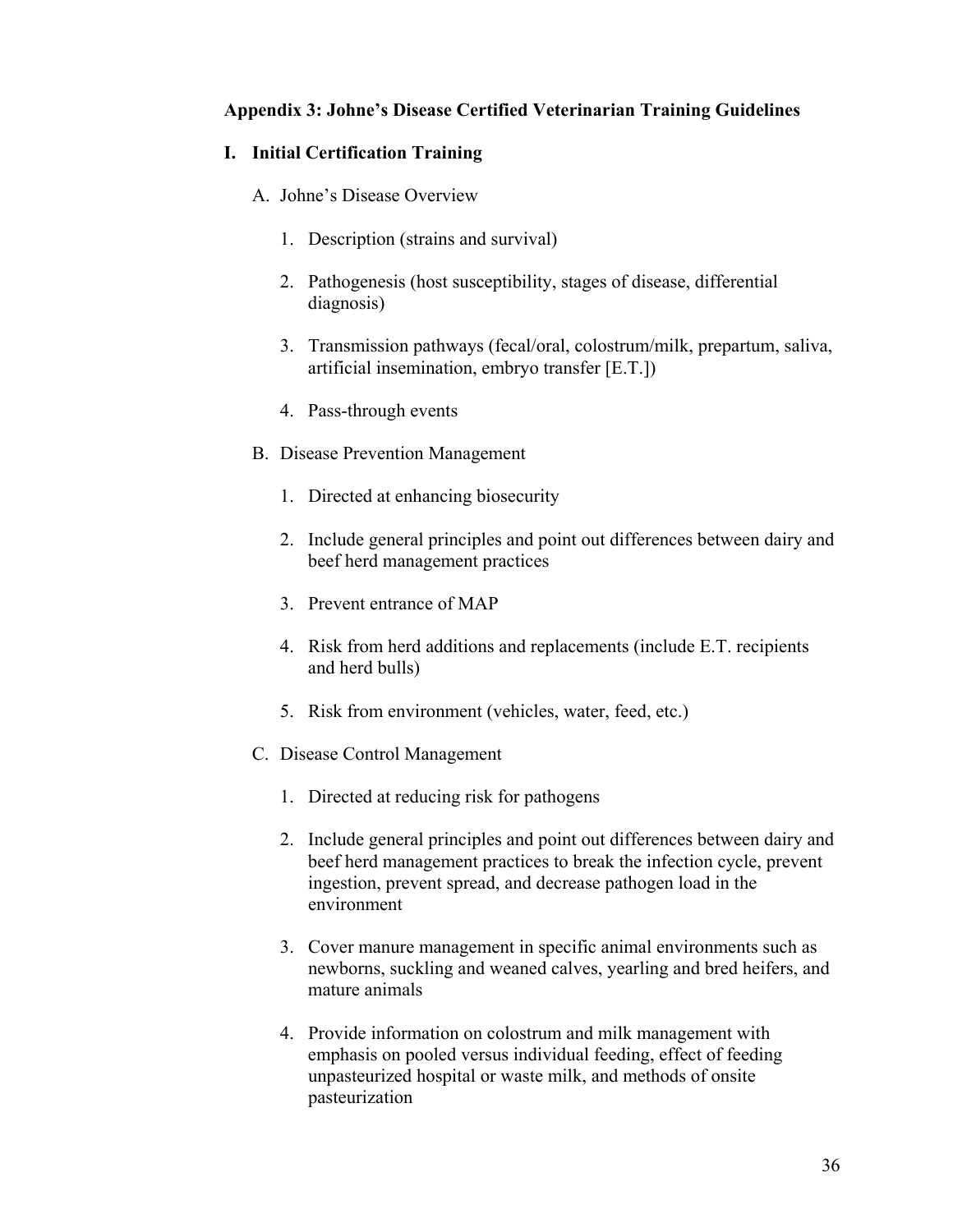## **Appendix 3: Johne's Disease Certified Veterinarian Training Guidelines**

## **I. Initial Certification Training**

- A. Johne's Disease Overview
	- 1. Description (strains and survival)
	- 2. Pathogenesis (host susceptibility, stages of disease, differential diagnosis)
	- 3. Transmission pathways (fecal/oral, colostrum/milk, prepartum, saliva, artificial insemination, embryo transfer [E.T.])
	- 4. Pass-through events
- B. Disease Prevention Management
	- 1. Directed at enhancing biosecurity
	- 2. Include general principles and point out differences between dairy and beef herd management practices
	- 3. Prevent entrance of MAP
	- 4. Risk from herd additions and replacements (include E.T. recipients and herd bulls)
	- 5. Risk from environment (vehicles, water, feed, etc.)
- C. Disease Control Management
	- 1. Directed at reducing risk for pathogens
	- 2. Include general principles and point out differences between dairy and beef herd management practices to break the infection cycle, prevent ingestion, prevent spread, and decrease pathogen load in the environment
	- 3. Cover manure management in specific animal environments such as newborns, suckling and weaned calves, yearling and bred heifers, and mature animals
	- 4. Provide information on colostrum and milk management with emphasis on pooled versus individual feeding, effect of feeding unpasteurized hospital or waste milk, and methods of onsite pasteurization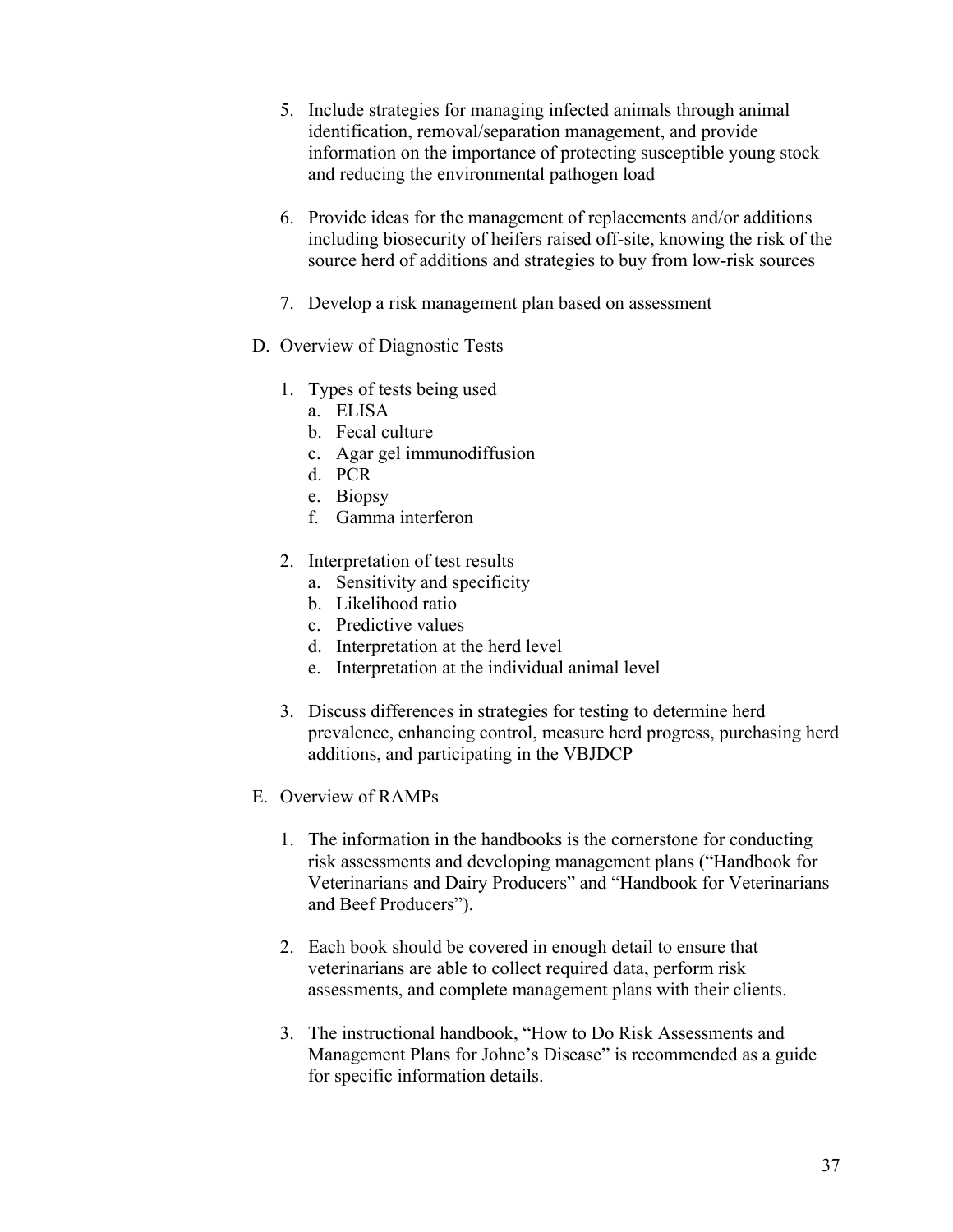- 5. Include strategies for managing infected animals through animal identification, removal/separation management, and provide information on the importance of protecting susceptible young stock and reducing the environmental pathogen load
- 6. Provide ideas for the management of replacements and/or additions including biosecurity of heifers raised off-site, knowing the risk of the source herd of additions and strategies to buy from low-risk sources
- 7. Develop a risk management plan based on assessment
- D. Overview of Diagnostic Tests
	- 1. Types of tests being used
		- a. ELISA
		- b. Fecal culture
		- c. Agar gel immunodiffusion
		- d. PCR
		- e. Biopsy
		- f. Gamma interferon
	- 2. Interpretation of test results
		- a. Sensitivity and specificity
		- b. Likelihood ratio
		- c. Predictive values
		- d. Interpretation at the herd level
		- e. Interpretation at the individual animal level
	- 3. Discuss differences in strategies for testing to determine herd prevalence, enhancing control, measure herd progress, purchasing herd additions, and participating in the VBJDCP
- E. Overview of RAMPs
	- 1. The information in the handbooks is the cornerstone for conducting risk assessments and developing management plans ("Handbook for Veterinarians and Dairy Producers" and "Handbook for Veterinarians and Beef Producers").
	- 2. Each book should be covered in enough detail to ensure that veterinarians are able to collect required data, perform risk assessments, and complete management plans with their clients.
	- 3. The instructional handbook, "How to Do Risk Assessments and Management Plans for Johne's Disease" is recommended as a guide for specific information details.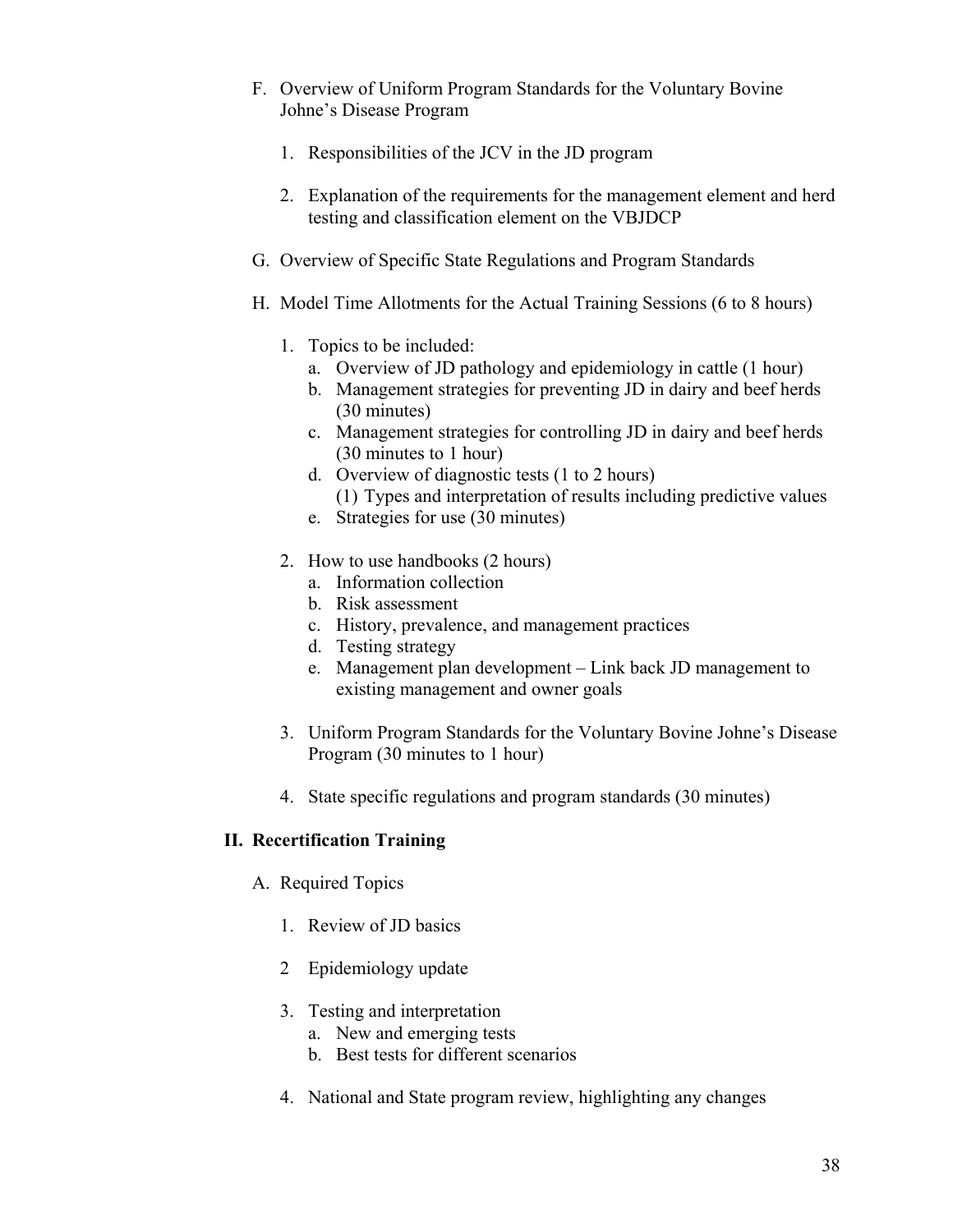- F. Overview of Uniform Program Standards for the Voluntary Bovine Johne's Disease Program
	- 1. Responsibilities of the JCV in the JD program
	- 2. Explanation of the requirements for the management element and herd testing and classification element on the VBJDCP
- G. Overview of Specific State Regulations and Program Standards
- H. Model Time Allotments for the Actual Training Sessions (6 to 8 hours)
	- 1. Topics to be included:
		- a. Overview of JD pathology and epidemiology in cattle (1 hour)
		- b. Management strategies for preventing JD in dairy and beef herds (30 minutes)
		- c. Management strategies for controlling JD in dairy and beef herds (30 minutes to 1 hour)
		- d. Overview of diagnostic tests (1 to 2 hours) (1) Types and interpretation of results including predictive values
		- e. Strategies for use (30 minutes)
	- 2. How to use handbooks (2 hours)
		- a. Information collection
		- b. Risk assessment
		- c. History, prevalence, and management practices
		- d. Testing strategy
		- e. Management plan development Link back JD management to existing management and owner goals
	- 3. Uniform Program Standards for the Voluntary Bovine Johne's Disease Program (30 minutes to 1 hour)
	- 4. State specific regulations and program standards (30 minutes)

# **II. Recertification Training**

- A. Required Topics
	- 1. Review of JD basics
	- 2 Epidemiology update
	- 3. Testing and interpretation
		- a. New and emerging tests
		- b. Best tests for different scenarios
	- 4. National and State program review, highlighting any changes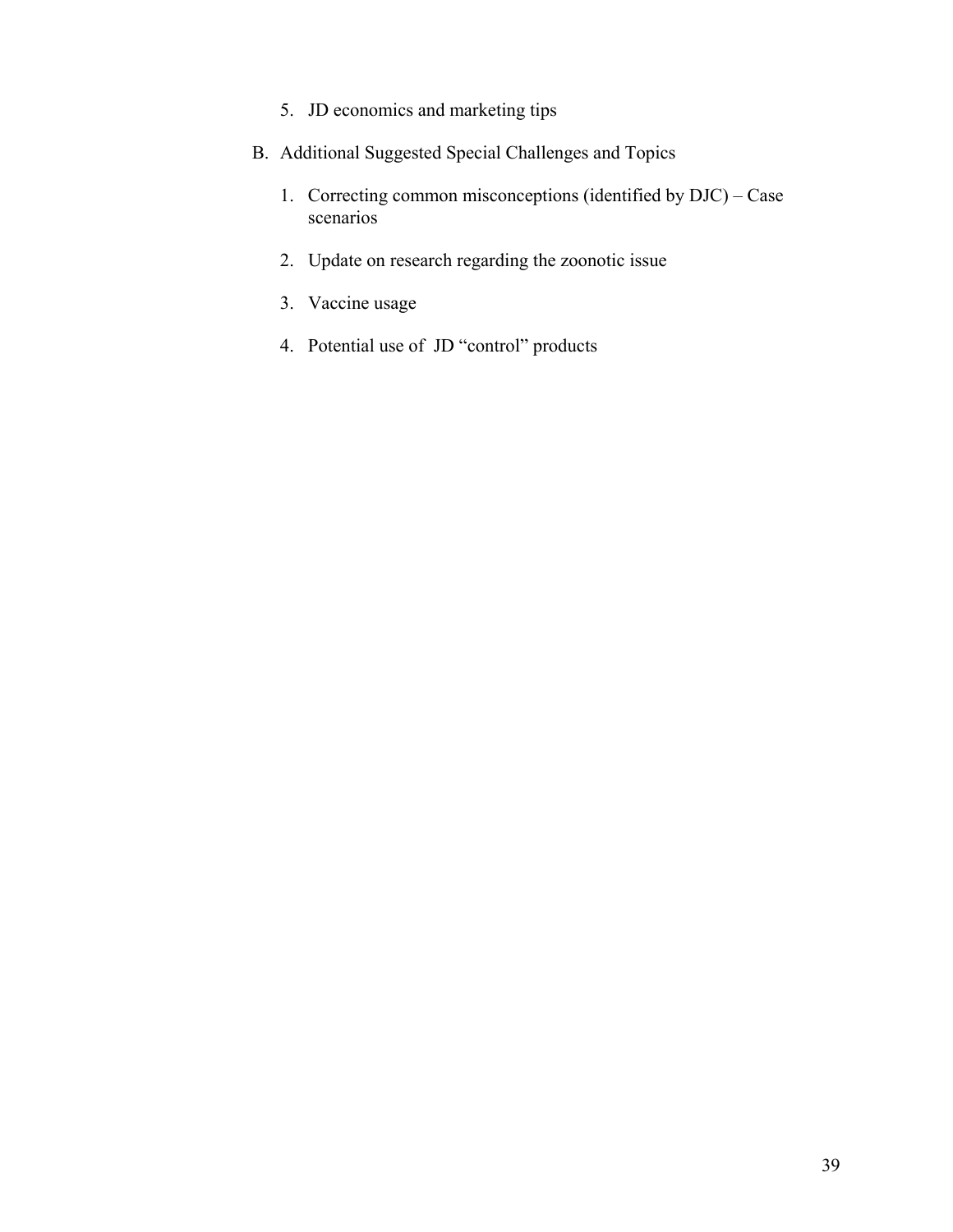- 5. JD economics and marketing tips
- B. Additional Suggested Special Challenges and Topics
	- 1. Correcting common misconceptions (identified by DJC) Case scenarios<sup>'</sup>
	- 2. Update on research regarding the zoonotic issue
	- 3. Vaccine usage
	- 4. Potential use of JD "control" products